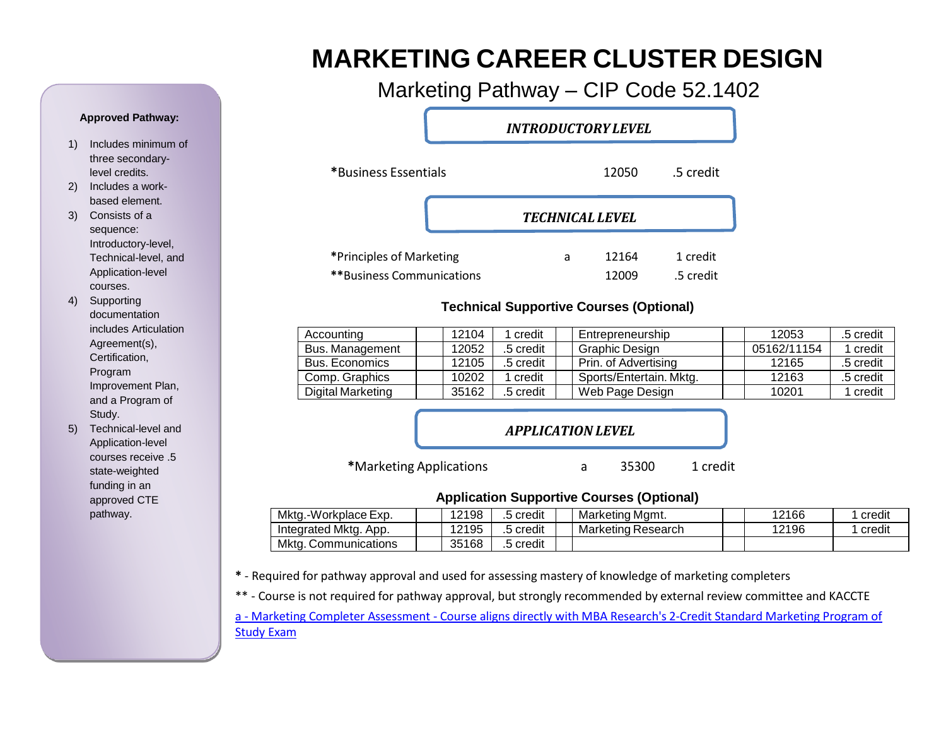# **MARKETING CAREER CLUSTER DESIGN**

Marketing Pathway – CIP Code 52.1402

*INTRODUCTORYLEVEL*

| *Business Essentials                                         |                        | 12050          | .5 credit             |
|--------------------------------------------------------------|------------------------|----------------|-----------------------|
|                                                              | <b>TECHNICAL LEVEL</b> |                |                       |
| *Principles of Marketing<br><b>**Business Communications</b> | a                      | 12164<br>12009 | 1 credit<br>.5 credit |

### **Technical Supportive Courses (Optional)**

| Accounting            | 12104 | credit    | Entrepreneurship        | 12053       | .5 credit |
|-----------------------|-------|-----------|-------------------------|-------------|-----------|
| Bus. Management       | 12052 | .5 credit | Graphic Design          | 05162/11154 | 1 credit  |
| <b>Bus. Economics</b> | 12105 | .5 credit | Prin. of Advertising    | 12165       | .5 credit |
| Comp. Graphics        | 10202 | credit    | Sports/Entertain. Mktg. | 12163       | .5 credit |
| Digital Marketing     | 35162 | .5 credit | Web Page Design         | 10201       | credit    |

## *APPLICATION LEVEL*

**\***Marketing [Applications](#page-14-0) a 35300 1 credit

#### **Application Supportive Courses (Optional)**

| Mktg.-<br>-Workplace Exp. | 12198 | 5 credit     | Marketing Mamt.    | 12166 | credit |
|---------------------------|-------|--------------|--------------------|-------|--------|
| Integrated Mktg.<br>App.  | 12195 | 5 credit     | Marketing Research | 12196 | credit |
| Mkta<br>. Communications  | 35168 | <br>5 credit |                    |       |        |

**\*** - Required for pathway approval and used for assessing mastery of knowledge of marketing completers

\*\* - Course is not required for pathway approval, but strongly recommended by external review committee and KACCTE

a - [Marketing Completer](http://www.mbaresearch.org/index.php/component/k2/item/301) Assessment - Course aligns directly with MBA Research's 2-Credit Standard Marketing Program of [Study](http://www.mbaresearch.org/index.php/component/k2/item/301) Exam

#### **Approved Pathway:**

- 1) Includes minimum of three secondarylevel credits.
- 2) Includes a workbased element.
- 3) Consists of a sequence: Introductory-level, Technical-level, and Application-level courses.
- 4) Supporting documentation includes Articulation Agreement(s), Certification, Program Improvement Plan, and a Program of Study.
- 5) Technical-level and Application-level courses receive .5 state-weighted funding in an approved CTE pathway.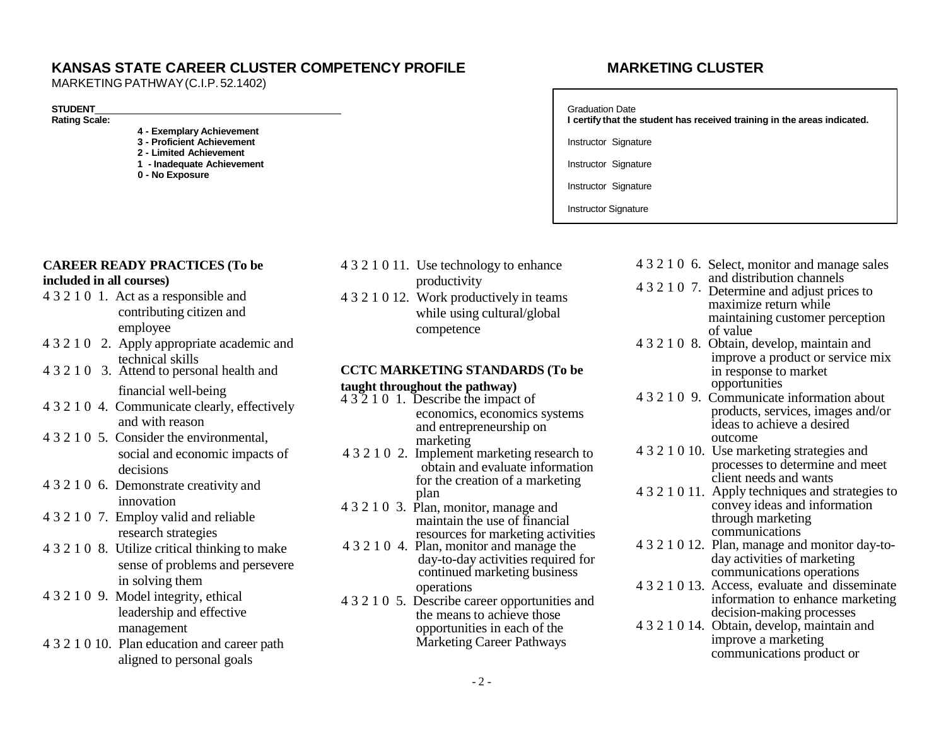### **KANSAS STATE CAREER CLUSTER COMPETENCY PROFILE MARKETING CLUSTER**

MARKETING PATHWAY(C.I.P. 52.1402)

#### **STUDENT**

**Rating Scale:**

- **4 - Exemplary Achievement**
- **3 - Proficient Achievement 2 - Limited Achievement**
- **1 - Inadequate Achievement**
- **0 - No Exposure**

- 4 3 2 1 0 1. Act as a responsible and contributing citizen and employee
- 4 3 2 1 0 2. Apply appropriate academic and technical skills
- 4 3 2 1 0 3. Attend to personal health and
- 4 3 2 1 0 4. Communicate clearly, effectively and with reason
- 4 3 2 1 0 5. Consider the environmental, social and economic impacts of decisions
- 4 3 2 1 0 6. Demonstrate creativity and innovation
- 4 3 2 1 0 7. Employ valid and reliable research strategies
- 4 3 2 1 0 8. Utilize critical thinking to make sense of problems and persevere in solving them
- 4 3 2 1 0 9. Model integrity, ethical leadership and effective management
- 4 3 2 1 0 10. Plan education and career path aligned to personal goals
- 4 3 2 1 0 12. Work productively in teams **CAREER READY PRACTICES** (To be 4 3 2 1 0 11. Use technology to enhance **included in all courses)** productivity 4 3 2 1 0 7.
	- while using cultural/global competence

### **CCTC MARKETING STANDARDS (To be** financial well-being **taught throughout the pathway)**

- 4 3 2 1 0 1. Describe the impact of economics, economics systems and entrepreneurship on marketing
- 4 3 2 1 0 2. Implement marketing research to obtain and evaluate information for the creation of a marketing plan
- 4 3 2 1 0 3. Plan, monitor, manage and maintain the use of financial resources for marketing activities
- 4 3 2 1 0 4. Plan, monitor and manage the day-to-day activities required for continued marketing business operations
- 4 3 2 1 0 5. Describe career opportunities and the means to achieve those opportunities in each of the Marketing Career Pathways

# Graduation Date **I certify that the student has received training in the areas indicated.** Instructor Signature Instructor Signature Instructor Signature Instructor Signature

4 3 2 1 0 6. Select, monitor and manage sales and distribution channels Determine and adjust prices to maximize return while maintaining customer perception of value 4 3 2 1 0 8. Obtain, develop, maintain and improve a product or service mix in response to market 4 3 2 1 0 9. Communicate information about opportunities products, services, images and/or ideas to achieve a desired outcome 4 3 2 1 0 10. Use marketing strategies and processes to determine and meet client needs and wants 4 3 2 1 0 11. Apply techniques and strategies to convey ideas and information through marketing communications 4 3 2 1 0 12. Plan, manage and monitor day-today activities of marketing communications operations 4 3 2 1 0 13. Access, evaluate and disseminate information to enhance marketing decision-making processes 4 3 2 1 0 14. Obtain, develop, maintain and improve a marketing communications product or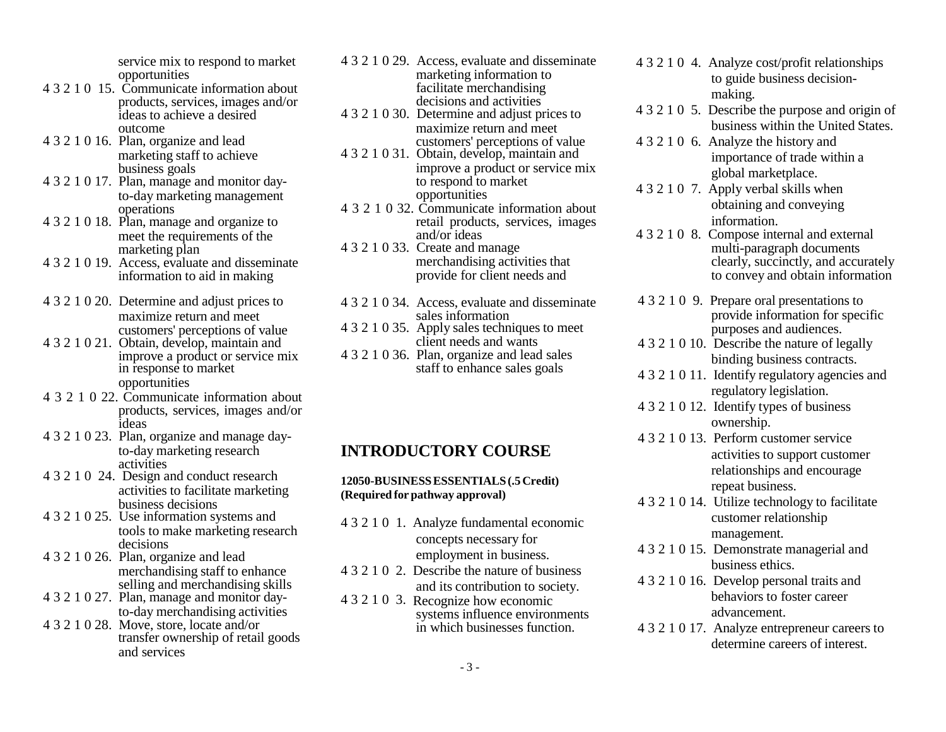service mix to respond to market opportunities

- <span id="page-2-0"></span>4 3 2 1 0 15. Communicate information about products, services, images and/or ideas to achieve a desired outcome
- 4 3 2 1 0 16. Plan, organize and lead marketing staff to achieve business goals
- 4 3 2 1 0 17. Plan, manage and monitor dayto-day marketing management operations
- 4 3 2 1 0 18. Plan, manage and organize to meet the requirements of the marketing plan
- 4 3 2 1 0 19. Access, evaluate and disseminate information to aid in making
- 4 3 2 1 0 20. Determine and adjust prices to maximize return and meet customers' perceptions of value
- 4 3 2 1 0 21. Obtain, develop, maintain and opportunities
- 4 3 2 1 0 22. Communicate information about products, services, images and/or ideas
- 4 3 2 1 0 23. Plan, organize and manage dayto-day marketing research activities
- 4 3 2 1 0 24. Design and conduct research activities to facilitate marketing business decisions
- 4 3 2 1 0 25. Use information systems and tools to make marketing research decisions
- 4 3 2 1 0 26. Plan, organize and lead merchandising staff to enhance selling and merchandising skills
- 4 3 2 1 0 27. Plan, manage and monitor dayto-day merchandising activities
- 4 3 2 1 0 28. Move, store, locate and/or transfer ownership of retail goods and services
- 4 3 2 1 0 29. Access, evaluate and disseminate marketing information to facilitate merchandising decisions and activities
- 4 3 2 1 0 30. Determine and adjust prices to maximize return and meet customers' perceptions of value
- 4 3 2 1 0 31. Obtain, develop, maintain and improve a product or service mix to respond to market opportunities
- 4 3 2 1 0 32. Communicate information about retail products, services, images and/or ideas
- 4 3 2 1 0 33. Create and manage merchandising activities that provide for client needs and
- 4 3 2 1 0 34. Access, evaluate and disseminate sales information
- 4 3 2 1 0 35. Apply sales techniques to meet client needs and wants
- improve a product or service mix 4 3 2 1 0 36. Plan, organize and lead sales<br>in response to market staff to enhance sales goals staff to enhance sales goals

## **INTRODUCTORY COURSE**

#### **12050-BUSINESSESSENTIALS(.5Credit) (Required for pathway approval)**

- 4 3 2 1 0 1. Analyze fundamental economic concepts necessary for employment in business.
- 4 3 2 1 0 2. Describe the nature of business and its contribution to society.
- 4 3 2 1 0 3. Recognize how economic systems influence environments in which businesses function.
- 4 3 2 1 0 4. Analyze cost/profit relationships to guide business decisionmaking.
- 4 3 2 1 0 5. Describe the purpose and origin of business within the United States.
- 4 3 2 1 0 6. Analyze the history and importance of trade within a global marketplace.
- 4 3 2 1 0 7. Apply verbal skills when obtaining and conveying information.
- 4 3 2 1 0 8. Compose internal and external multi-paragraph documents clearly, succinctly, and accurately to convey and obtain information
- 4 3 2 1 0 9. Prepare oral presentations to provide information for specific purposes and audiences.
- 4 3 2 1 0 10. Describe the nature of legally binding business contracts.
- 4 3 2 1 0 11. Identify regulatory agencies and regulatory legislation.
- 4 3 2 1 0 12. Identify types of business ownership.
- 4 3 2 1 0 13. Perform customer service activities to support customer relationships and encourage repeat business.
- 4 3 2 1 0 14. Utilize technology to facilitate customer relationship management.
- 4 3 2 1 0 15. Demonstrate managerial and business ethics.
- 4 3 2 1 0 16. Develop personal traits and behaviors to foster career advancement.
- 4 3 2 1 0 17. Analyze entrepreneur careers to determine careers of interest.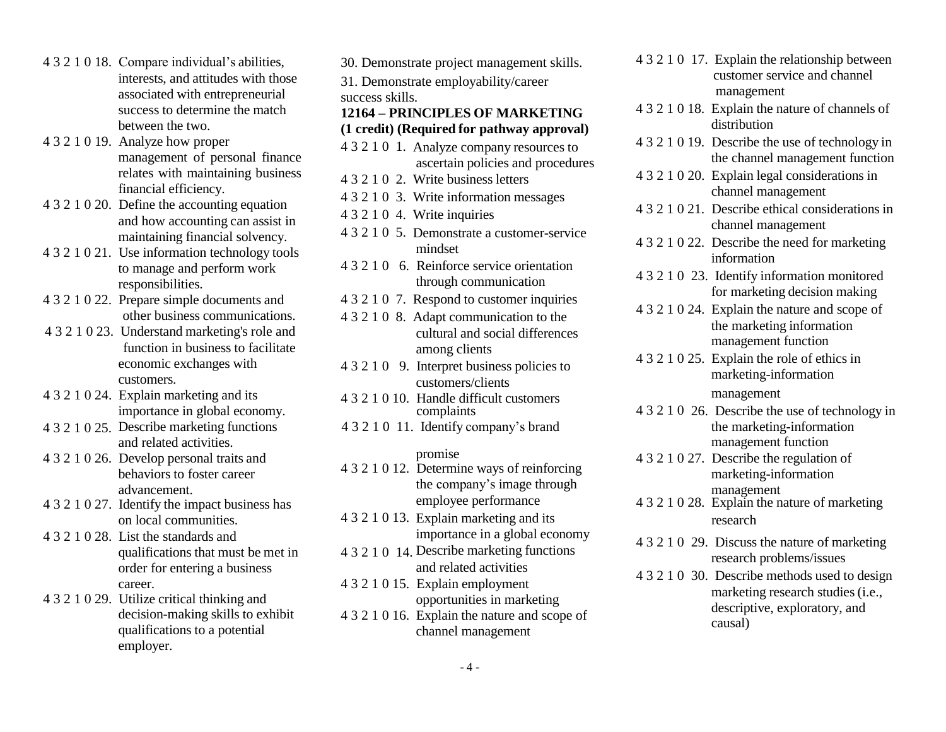- <span id="page-3-0"></span>4 3 2 1 0 18. Compare individual's abilities, interests, and attitudes with those associated with entrepreneurial success to determine the match between the two.
- 4 3 2 1 0 19. Analyze how proper management of personal finance relates with maintaining business financial efficiency.
- 4 3 2 1 0 20. Define the accounting equation and how accounting can assist in maintaining financial solvency.
- 4 3 2 1 0 21. Use information technology tools to manage and perform work responsibilities.
- 4 3 2 1 0 22. Prepare simple documents and other business communications.
- 4 3 2 1 0 23. Understand marketing's role and function in business to facilitate economic exchanges with customers.
- importance in global economy.
- 4 3 2 1 0 25. Describe marketing functions and related activities.
- 4 3 2 1 0 26. Develop personal traits and behaviors to foster career advancement.
- 4 3 2 1 0 27. Identify the impact business has on local communities.
- 4 3 2 1 0 28. List the standards and qualifications that must be met in order for entering a business career.
- 4 3 2 1 0 29. Utilize critical thinking and decision-making skills to exhibit qualifications to a potential employer.
- 30. Demonstrate project management skills. 31. Demonstrate employability/career success skills. **12164 – PRINCIPLES OF MARKETING (1 credit) (Required for pathway approval)** 4 3 2 1 0 24. Explain marketing and its  $\frac{4321010}{\text{_H}}$  Handle difficult customers management complaints 4 3 2 1 0 11. Identify company's brand promise 4 3 2 1 0 12. Determine ways of reinforcing the company's image through employee performance 4 3 2 1 0 13. Explain marketing and its importance in a global economy 4 3 2 1 0 14. Describe marketing functions and related activities 4 3 2 1 0 15. Explain employment opportunities in marketing 4 3 2 1 0 16. Explain the nature and scope of channel management 4 3 2 1 0 1. Analyze company resources to ascertain policies and procedures 4 3 2 1 0 2. Write business letters 4 3 2 1 0 3. Write information messages 4 3 2 1 0 4. Write inquiries 4 3 2 1 0 5. Demonstrate a customer-service mindset 4 3 2 1 0 6. Reinforce service orientation through communication 4 3 2 1 0 7. Respond to customer inquiries 4 3 2 1 0 8. Adapt communication to the cultural and social differences among clients 4 3 2 1 0 9. Interpret business policies to 4 3 2 1 0 10. Handle difficult customers customers/clients
- 4 3 2 1 0 17. Explain the relationship between customer service and channel management
	- 4 3 2 1 0 18. Explain the nature of channels of distribution
	- 4 3 2 1 0 19. Describe the use of technology in the channel management function
	- 4 3 2 1 0 20. Explain legal considerations in channel management
	- 4 3 2 1 0 21. Describe ethical considerations in channel management
	- 4 3 2 1 0 22. Describe the need for marketing information
	- 4 3 2 1 0 23. Identify information monitored for marketing decision making
	- 4 3 2 1 0 24. Explain the nature and scope of the marketing information management function
	- 4 3 2 1 0 25. Explain the role of ethics in marketing-information

- 4 3 2 1 0 26. Describe the use of technology in the marketing-information management function
- 4 3 2 1 0 27. Describe the regulation of marketing-information management
- 4 3 2 1 0 28. Explain the nature of marketing research
- 4 3 2 1 0 29. Discuss the nature of marketing research problems/issues
- 4 3 2 1 0 30. Describe methods used to design marketing research studies (i.e., descriptive, exploratory, and causal)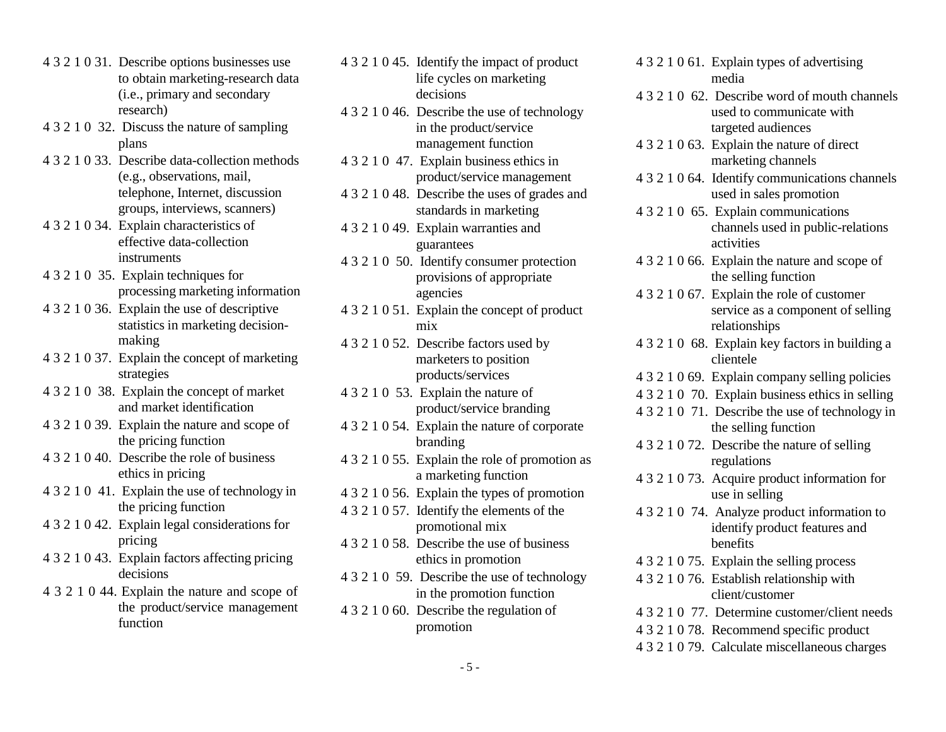- 4 3 2 1 0 31. Describe options businesses use to obtain marketing-research data (i.e., primary and secondary research)
- 4 3 2 1 0 32. Discuss the nature of sampling plans
- 4 3 2 1 0 33. Describe data-collection methods (e.g., observations, mail, telephone, Internet, discussion groups, interviews, scanners)
- 4 3 2 1 0 34. Explain characteristics of effective data-collection instruments
- 4 3 2 1 0 35. Explain techniques for processing marketing information
- 4 3 2 1 0 36. Explain the use of descriptive statistics in marketing decisionmaking
- 4 3 2 1 0 37. Explain the concept of marketing strategies
- 4 3 2 1 0 38. Explain the concept of market and market identification
- 4 3 2 1 0 39. Explain the nature and scope of the pricing function
- 4 3 2 1 0 40. Describe the role of business ethics in pricing
- 4 3 2 1 0 41. Explain the use of technology in the pricing function
- 4 3 2 1 0 42. Explain legal considerations for pricing
- 4 3 2 1 0 43. Explain factors affecting pricing decisions
- 4 3 2 1 0 44. Explain the nature and scope of the product/service management function
- 4 3 2 1 0 45. Identify the impact of product life cycles on marketing decisions 4 3 2 1 0 46. Describe the use of technology in the product/service management function 4 3 2 1 0 47. Explain business ethics in product/service management 4 3 2 1 0 48. Describe the uses of grades and standards in marketing 4 3 2 1 0 49. Explain warranties and guarantees 4 3 2 1 0 50. Identify consumer protection provisions of appropriate agencies 4 3 2 1 0 51. Explain the concept of product mix 4 3 2 1 0 52. Describe factors used by marketers to position products/services 4 3 2 1 0 53. Explain the nature of product/service branding 4 3 2 1 0 54. Explain the nature of corporate branding 4 3 2 1 0 55. Explain the role of promotion as a marketing function 4 3 2 1 0 56. Explain the types of promotion 4 3 2 1 0 57. Identify the elements of the promotional mix 4 3 2 1 0 58. Describe the use of business ethics in promotion 4 3 2 1 0 59. Describe the use of technology in the promotion function 4 3 2 1 0 60. Describe the regulation of promotion
- 4 3 2 1 0 61. Explain types of advertising media
- 4 3 2 1 0 62. Describe word of mouth channels used to communicate with targeted audiences
- 4 3 2 1 0 63. Explain the nature of direct marketing channels
- 4 3 2 1 0 64. Identify communications channels used in sales promotion
- 4 3 2 1 0 65. Explain communications channels used in public-relations activities
- 4 3 2 1 0 66. Explain the nature and scope of the selling function
- 4 3 2 1 0 67. Explain the role of customer service as a component of selling relationships
- 4 3 2 1 0 68. Explain key factors in building a clientele
- 4 3 2 1 0 69. Explain company selling policies
- 4 3 2 1 0 70. Explain business ethics in selling
- 4 3 2 1 0 71. Describe the use of technology in the selling function
- 4 3 2 1 0 72. Describe the nature of selling regulations
- 4 3 2 1 0 73. Acquire product information for use in selling
- 4 3 2 1 0 74. Analyze product information to identify product features and benefits
- 4 3 2 1 0 75. Explain the selling process
- 4 3 2 1 0 76. Establish relationship with client/customer
- 4 3 2 1 0 77. Determine customer/client needs
- 4 3 2 1 0 78. Recommend specific product
- 4 3 2 1 0 79. Calculate miscellaneous charges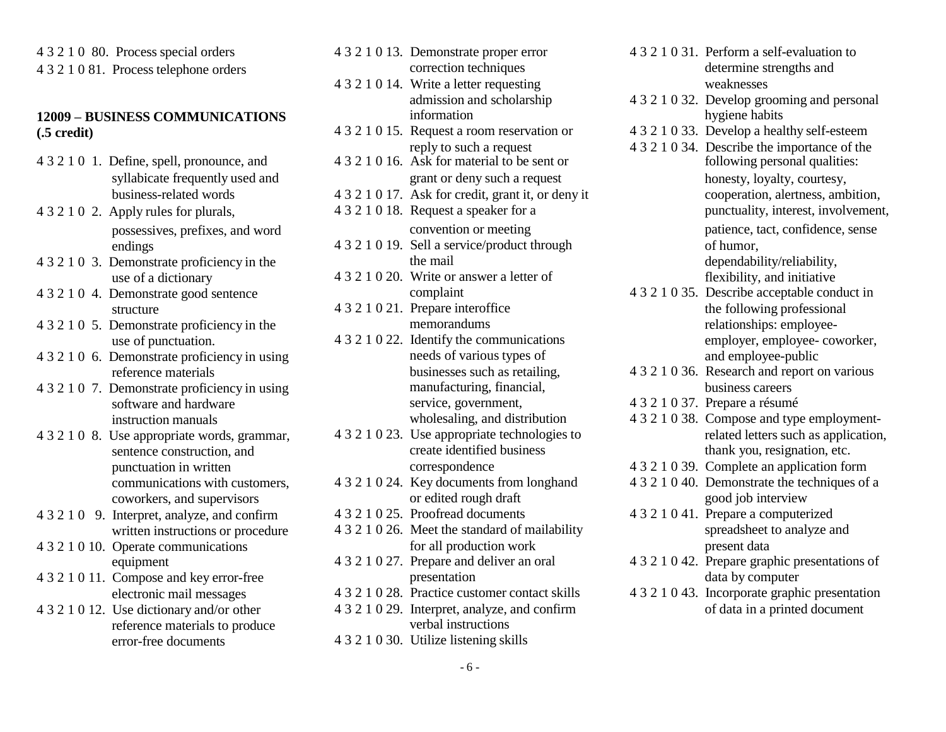4 3 2 1 0 80. Process special orders 4 3 2 1 0 81. Process telephone orders

# **12009 – BUSINESS COMMUNICATIONS**

- 4 3 2 1 0 1. Define, spell, pronounce, and
- 
- 
- 
- 
- 4 3 2 1 0 6. Demonstrate proficiency in using needs of various types of businesses such as retailing.
- 
- 4 3 2 1 0 8. Use appropriate words, grammar,
- 
- 
- 4 3 2 1 0 11. Compose and key error-free presentation
- 4 3 2 1 0 12. Use dictionary and/or other  $4$  3 2 1 0 29. Interpret, analyze, and confirm
- <span id="page-5-0"></span>4 3 2 1 0 13. Demonstrate proper error correction techniques 4 3 2 1 0 14. Write a letter requesting weaknesses **(.5 credit)** 4 3 2 1 0 15. Request a room reservation or 4 3 2 1 0 33. information reply to such a request 4 3 2 1 0 34. Describe the importance of the<br>4 3 2 1 0 16. Ask for material to be sent or<br>following personal qualities: syllabicate frequently used and grant or deny such a request honesty, loyalty, courtesy, business-related words 4 3 2 1 0 17. Ask for credit, grant it, or deny it cooperation, alertness, ambition, 4 3 2 1 0 2. Apply rules for plurals, 4 3 2 1 0 18. Request a speaker for a punctuality, interest, involvement, possessives, prefixes, and word convention or meeting patience, tact, confidence, sense endings 4 3 2 1 0 19. Sell a service/product through of humor, 4 3 2 1 0 3. Demonstrate proficiency in the the mail dependability/reliability, use of a dictionary the the the the mail dependability/reliability, and initiative the the the the the the mail dependability/reliability, and use of a dictionary 4 3 2 1 0 20. Write or answer a letter of 4 3 2 1 0 4. Demonstrate good sentence complaint structure  $4321021$ . Prepare interoffice 4 3 2 1 0 5. Demonstrate proficiency in the memorandums memorandums relationships: employee-<br>use of punctuation. 4 3 2 1 0 22. Identify the communications employer, employee-coworker, use of punctuation. 4 3 2 1 0 22. Identify the communications employer, employee-<br>Demonstrate proficiency in using eneds of various types of and employee-public reference materials intervals businesses such as retailing, 4 3 2 1 0 36. Research and report on various 4 3 2 1 0 7. Demonstrate proficiency in using manufacturing, financial, business careers service, government, business careers service, government, business careers a résume software and hardware service, government, 4 3 2 1 0 37. Prepare a résumé<br>instruction manuals wholesaling, and distribution 4 3 2 1 0 38. Compose and type instruction manuals wholesaling, and distribution 4 3 2 1 0 38. Compose and type employment-<br>Use appropriate words, examinar, 4 3 2 1 0 23. Use appropriate technologies to related letters such as application, sentence construction, and create identified business thank you, resignation, etc. punctuation in written correspondence 4 3 2 1 0 39. Complete an application form communications with customers,  $4321024$ . Key documents from longhand  $4321040$ . Demonstrate the techniques of a coworkers, and supervisors or edited rough draft good job interview<br>Interpret, analyze, and confirm 4321025. Proofread documents 4321041. Prepare a computerized 4 3 2 1 0 9. Interpret, analyze, and confirm 4 3 2 1 0 25. Proofread documents 4 3 2 1 0 41. Prepare a computerized written instructions or procedure 4 3 2 1 0 26. Meet the standard of mailability spreadsheet to analyze an written instructions or procedure 4 3 2 1 0 26. Meet the standard of mailability spreadsheet to spreadsheet to analyze and production work present data 4 3 2 1 0 10. Operate communications for all production work equipment 4 3 2 1 0 27. Prepare and deliver an oral equipment 4 3 2 1 0 27. Prepare and deliver an oral 4 3 2 1 0 42. Prepare graphic presentations of presentation data by computer
	- reference materials to produce verbal instructions
	- error-free documents 4 3 2 1 0 30. Utilize listening skills
- 4 3 2 1 0 31. Perform a self-evaluation to determine strengths and
- admission and scholarship 4 3 2 1 0 32. Develop grooming and personal hygiene habits
	- 4 3 2 1 0 33. Develop a healthy self-esteem
	- 4 3 2 1 0 35. Describe acceptable conduct in the following professional
	-
	-
	-
	-
	-
	-
- electronic mail messages 4 3 2 1 0 28. Practice customer contact skills 4 3 2 1 0 43. Incorporate graphic presentation<br>Use dictionary and/or other 4 3 2 1 0 29. Interpret, analyze, and confirm of data in a printed document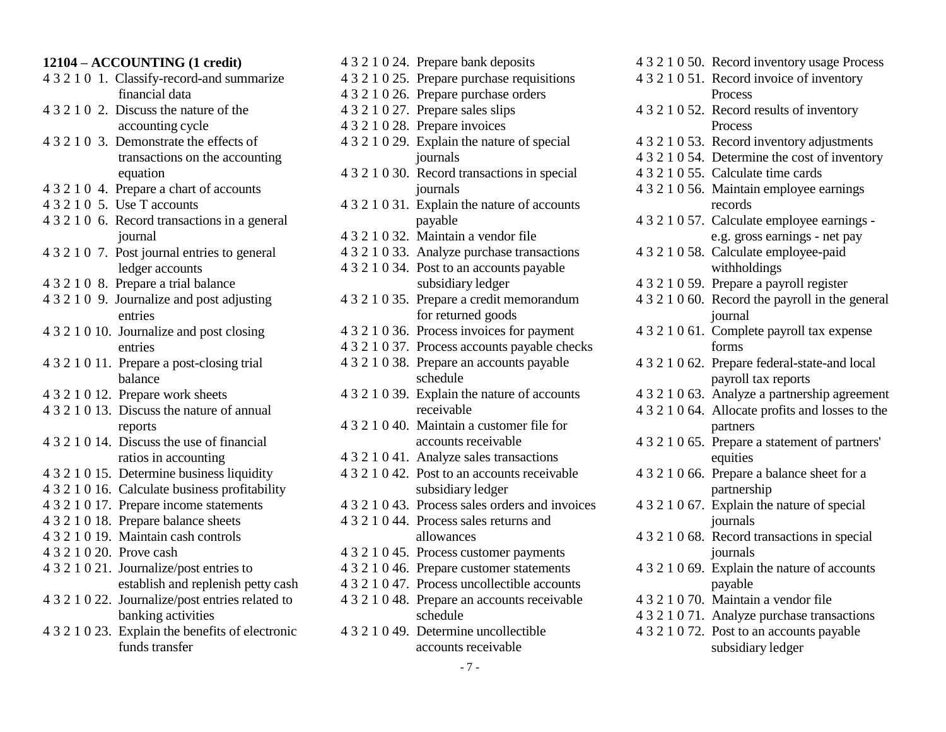#### <span id="page-6-0"></span>**12104 – ACCOUNTING (1 credit)**

- 4 3 2 1 0 1. Classify-record-and summarize financial data
- 4 3 2 1 0 2. Discuss the nature of the accounting cycle
- 4 3 2 1 0 3. Demonstrate the effects of transactions on the accounting equation
- 4 3 2 1 0 4. Prepare a chart of accounts
- 4 3 2 1 0 5. Use T accounts
- 4 3 2 1 0 6. Record transactions in a general journal
- 4 3 2 1 0 7. Post journal entries to general ledger accounts
- 4 3 2 1 0 8. Prepare a trial balance
- 4 3 2 1 0 9. Journalize and post adjusting entries
- 4 3 2 1 0 10. Journalize and post closing entries
- 4 3 2 1 0 11. Prepare a post-closing trial balance
- 4 3 2 1 0 12. Prepare work sheets
- 4 3 2 1 0 13. Discuss the nature of annual reports
- 4 3 2 1 0 14. Discuss the use of financial ratios in accounting
- 4 3 2 1 0 15. Determine business liquidity
- 4 3 2 1 0 16. Calculate business profitability
- 4 3 2 1 0 17. Prepare income statements
- 4 3 2 1 0 18. Prepare balance sheets
- 4 3 2 1 0 19. Maintain cash controls
- 4 3 2 1 0 20. Prove cash
- 4 3 2 1 0 21. Journalize/post entries to establish and replenish petty cash
- 4 3 2 1 0 22. Journalize/post entries related to banking activities
- 4 3 2 1 0 23. Explain the benefits of electronic funds transfer

| 4 3 2 1 0 24. Prepare bank deposits             |
|-------------------------------------------------|
| 4 3 2 1 0 25. Prepare purchase requisitions     |
| 4 3 2 1 0 26. Prepare purchase orders           |
| 4 3 2 1 0 27. Prepare sales slips               |
| 4 3 2 1 0 28. Prepare invoices                  |
| 4 3 2 1 0 29. Explain the nature of special     |
| journals                                        |
| 4 3 2 1 0 30. Record transactions in special    |
| journals                                        |
| 4 3 2 1 0 31. Explain the nature of accounts    |
| payable                                         |
| 4321032. Maintain a vendor file                 |
| 4 3 2 1 0 33. Analyze purchase transactions     |
| 4 3 2 1 0 34. Post to an accounts payable       |
| subsidiary ledger                               |
| 4 3 2 1 0 35. Prepare a credit memorandum       |
| for returned goods                              |
| 4 3 2 1 0 36. Process invoices for payment      |
| 4 3 2 1 0 37. Process accounts payable checks   |
| 4 3 2 1 0 38. Prepare an accounts payable       |
| schedule                                        |
| 4 3 2 1 0 39. Explain the nature of accounts    |
| receivable                                      |
| 4 3 2 1 0 40. Maintain a customer file for      |
| accounts receivable                             |
| 4321041. Analyze sales transactions             |
| 4 3 2 1 0 42. Post to an accounts receivable    |
| subsidiary ledger                               |
| 4 3 2 1 0 43. Process sales orders and invoices |
| 4321044. Process sales returns and              |
| allowances                                      |
| 4 3 2 1 0 45. Process customer payments         |
| 4 3 2 1 0 46. Prepare customer statements       |
| 4 3 2 1 0 47. Process uncollectible accounts    |
| 4 3 2 1 0 48. Prepare an accounts receivable    |
| schedule                                        |
| 4 3 2 1 0 49. Determine uncollectible           |
| accounts receivable                             |

|                | 4 3 2 1 0 50. Record inventory usage Process     |
|----------------|--------------------------------------------------|
|                | 4321051. Record invoice of inventory             |
|                | Process                                          |
| 4 3 2 1 0 5 2. | Record results of inventory                      |
|                | Process                                          |
|                | 4321053. Record inventory adjustments            |
|                | 4321054. Determine the cost of inventory         |
|                | 4 3 2 1 0 55. Calculate time cards               |
|                | 4321056. Maintain employee earnings              |
|                | records                                          |
|                | 4 3 2 1 0 57. Calculate employee earnings -      |
|                | e.g. gross earnings - net pay                    |
|                | 4321058. Calculate employee-paid                 |
|                | withholdings                                     |
|                | 4321059. Prepare a payroll register              |
|                | 4 3 2 1 0 60. Record the payroll in the general  |
|                | journal                                          |
|                | 4 3 2 1 0 61. Complete payroll tax expense       |
|                | forms                                            |
|                | 4321062. Prepare federal-state-and local         |
|                | payroll tax reports                              |
|                | 4321063. Analyze a partnership agreement         |
|                | 4 3 2 1 0 64. Allocate profits and losses to the |
|                | partners                                         |
|                | 4321065. Prepare a statement of partners'        |
|                | equities                                         |
| 4 3 2 1 0 66.  | Prepare a balance sheet for a                    |
|                | partnership                                      |
| 4321067.       | Explain the nature of special                    |
|                | journals                                         |
| 4 3 2 1 0 68.  | Record transactions in special                   |
|                | journals                                         |
|                | 4 3 2 1 0 69. Explain the nature of accounts     |
|                | payable                                          |
|                | 4321070. Maintain a vendor file                  |
|                | 4 3 2 1 0 71. Analyze purchase transactions      |
|                | 4 3 2 1 0 72. Post to an accounts payable        |
|                | subsidiary ledger                                |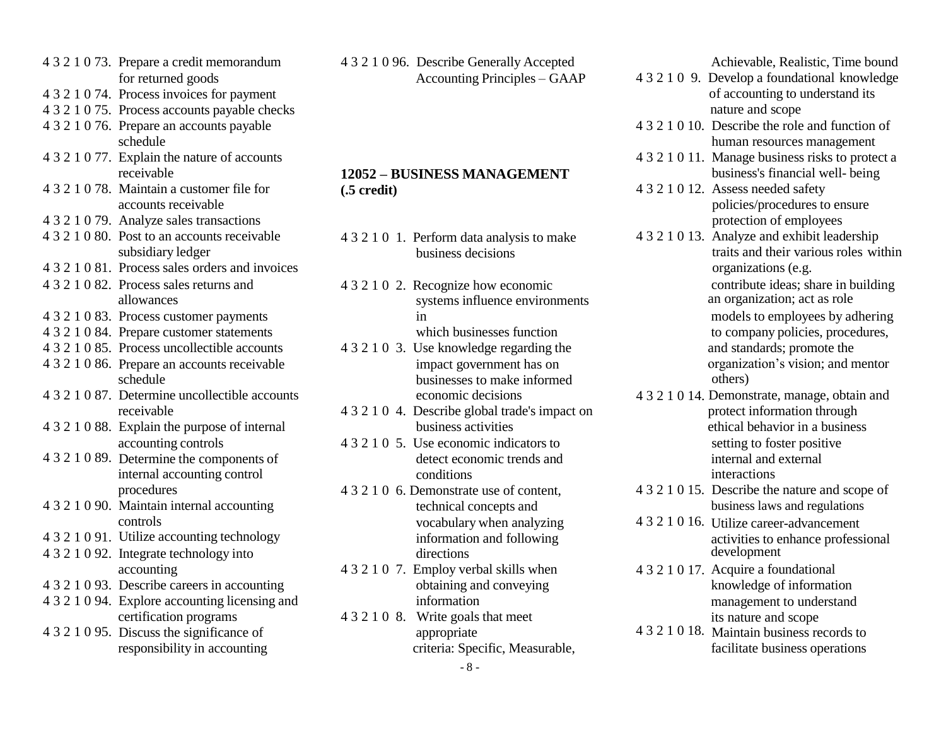- <span id="page-7-0"></span>4 3 2 1 0 73. Prepare a credit memorandum for returned goods
- 4 3 2 1 0 74. Process invoices for payment
- 4 3 2 1 0 75. Process accounts payable checks
- 4 3 2 1 0 76. Prepare an accounts payable schedule
- 4 3 2 1 0 77. Explain the nature of accounts receivable
- 4 3 2 1 0 78. Maintain a customer file for accounts receivable
- 4 3 2 1 0 79. Analyze sales transactions
- 4 3 2 1 0 80. Post to an accounts receivable subsidiary ledger
- 4 3 2 1 0 81. Process sales orders and invoices
- 4 3 2 1 0 82. Process sales returns and allowances
- 
- 4 3 2 1 0 84. Prepare customer statements which businesses function
- 4 3 2 1 0 85. Process uncollectible accounts 4 3 2 1 0 3. Use knowledge regarding the and standards; promote the
- 4 3 2 1 0 86. Prepare an accounts receivable schedule
- 4 3 2 1 0 87. Determine uncollectible accounts economic decisions 4 3 2 1 0 14. Demonstrate, manage, obtain and
- accounting controls
- 4 3 2 1 0 89. Determine the components of
- 4 3 2 1 0 90. Maintain internal accounting technical concepts and controls
- 4 3 2 1 0 91. Utilize accounting technology
- 4 3 2 1 0 92. Integrate technology into directions directions
- 
- 4 3 2 1 0 94. Explore accounting licensing and certification programs
- 4 3 2 1 0 95. Discuss the significance of

4 3 2 1 0 96. Describe Generally Accepted Accounting Principles – GAAP

#### **12052 – BUSINESS MANAGEMENT (.5 credit)**

- 4 3 2 1 0 1. Perform data analysis to make business decisions
- 4 3 2 1 0 2. Recognize how economic systems influence environments
	-
- impact government has on businesses to make informed
- 4 3 2 1 0 88. Explain the purpose of internal business activities ethical behavior in a business
	- 4 3 2 1 0 5. Use economic indicators to detect economic trends and internal accounting control conditions interactions interactions interactions
		- vocabulary when analyzing information and following
	- accounting 4 3 2 1 0 7. Employ verbal skills when 4 3 2 1 0 17. Acquire a foundational information
		- 4 3 2 1 0 8. Write goals that meet

Achievable, Realistic, Time bound

- 4 3 2 1 0 9. Develop a foundational knowledge of accounting to understand its nature and scope 4 3 2 1 0 10. Describe the role and function of human resources management
- 4 3 2 1 0 11. Manage business risks to protect a business's financial well- being
- 4 3 2 1 0 12. Assess needed safety policies/procedures to ensure protection of employees
- 4 3 2 1 0 13. Analyze and exhibit leadership traits and their various roles within organizations (e.g.

contribute ideas; share in building an organization; act as role

4 3 2 1 0 83. Process customer payments in models to employees by adhering to 2 1 0 84. Prepare customer statements which businesses function to company policies, procedures, organization's vision; and mentor others)

- receivable 4 3 2 1 0 4. Describe global trade's impact on protect information through setting to foster positive internal and external
- procedures 4 3 2 1 0 6. Demonstrate use of content, 4 3 2 1 0 15. Describe the nature and scope of<br>Maintain internal accounting the state of contents and the procedures are the nature and scope of the nature and regulation
	- 4 3 2 1 0 16. Utilize career-advancement activities to enhance professional
- 4 3 2 1 0 93. Describe careers in accounting obtaining and conveying knowledge of information management to understand its nature and scope
	- appropriate 4 3 2 1 0 18. Maintain business records to responsibility in accounting criteria: Specific, Measurable, facilitate business operations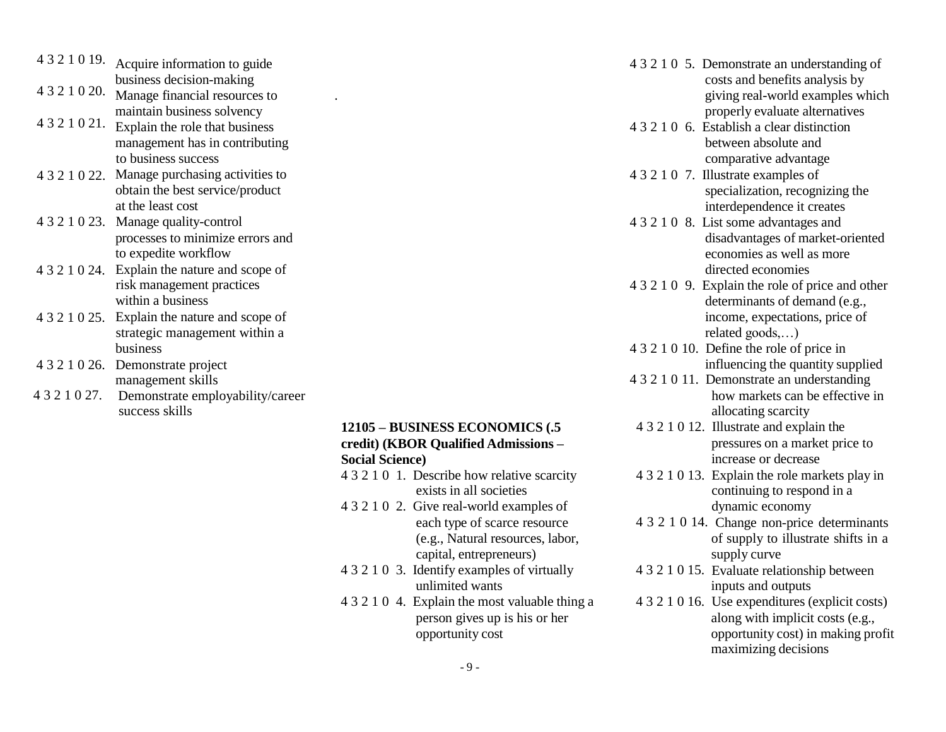| Acquire information to guide                     | 4 3 2 1 0 5. Demonstrate an under                                                                                                                                                                                                                                                                                                                                                                                                                                                                        |
|--------------------------------------------------|----------------------------------------------------------------------------------------------------------------------------------------------------------------------------------------------------------------------------------------------------------------------------------------------------------------------------------------------------------------------------------------------------------------------------------------------------------------------------------------------------------|
| business decision-making                         | costs and benefits and                                                                                                                                                                                                                                                                                                                                                                                                                                                                                   |
|                                                  | giving real-world exa                                                                                                                                                                                                                                                                                                                                                                                                                                                                                    |
|                                                  | properly evaluate alte                                                                                                                                                                                                                                                                                                                                                                                                                                                                                   |
| 4321021.                                         | 4 3 2 1 0 6. Establish a clear distinguish-                                                                                                                                                                                                                                                                                                                                                                                                                                                              |
|                                                  | between absolute and                                                                                                                                                                                                                                                                                                                                                                                                                                                                                     |
|                                                  | comparative advanta                                                                                                                                                                                                                                                                                                                                                                                                                                                                                      |
|                                                  | 4 3 2 1 0 7. Illustrate examples of                                                                                                                                                                                                                                                                                                                                                                                                                                                                      |
|                                                  | specialization, recogn                                                                                                                                                                                                                                                                                                                                                                                                                                                                                   |
|                                                  |                                                                                                                                                                                                                                                                                                                                                                                                                                                                                                          |
|                                                  | interdependence it cr                                                                                                                                                                                                                                                                                                                                                                                                                                                                                    |
| 4 3 2 1 0 23.                                    | 4 3 2 1 0 8. List some advantages                                                                                                                                                                                                                                                                                                                                                                                                                                                                        |
|                                                  | disadvantages of mar                                                                                                                                                                                                                                                                                                                                                                                                                                                                                     |
|                                                  | economies as well as                                                                                                                                                                                                                                                                                                                                                                                                                                                                                     |
|                                                  | directed economies                                                                                                                                                                                                                                                                                                                                                                                                                                                                                       |
| risk management practices                        | 4 3 2 1 0 9. Explain the role of pr                                                                                                                                                                                                                                                                                                                                                                                                                                                                      |
| within a business                                | determinants of dema                                                                                                                                                                                                                                                                                                                                                                                                                                                                                     |
| Explain the nature and scope of<br>4 3 2 1 0 25. | income, expectations                                                                                                                                                                                                                                                                                                                                                                                                                                                                                     |
| strategic management within a                    | related goods,)                                                                                                                                                                                                                                                                                                                                                                                                                                                                                          |
| business                                         | 4 3 2 1 0 10. Define the role of pri                                                                                                                                                                                                                                                                                                                                                                                                                                                                     |
| 4 3 2 1 0 26.                                    | influencing the quant                                                                                                                                                                                                                                                                                                                                                                                                                                                                                    |
|                                                  | 4 3 2 1 0 11. Demonstrate an under                                                                                                                                                                                                                                                                                                                                                                                                                                                                       |
|                                                  | how markets can be                                                                                                                                                                                                                                                                                                                                                                                                                                                                                       |
|                                                  | allocating scarcity                                                                                                                                                                                                                                                                                                                                                                                                                                                                                      |
| 4 3 2 1 0 20.                                    | Manage financial resources to<br>maintain business solvency<br>Explain the role that business<br>management has in contributing<br>to business success<br>4 3 2 1 0 22. Manage purchasing activities to<br>obtain the best service/product<br>at the least cost<br>Manage quality-control<br>processes to minimize errors and<br>to expedite workflow<br>4 3 2 1 0 24. Explain the nature and scope of<br>Demonstrate project<br>management skills<br>Demonstrate employability/career<br>success skills |

#### **12105 – BUSINESS ECONOMICS (.5 credit) (KBOR Qualified Admissions – Social Science)**

- 4 3 2 1 0 1. Describe how relative scarcity exists in all societies
- 4 3 2 1 0 2. Give real-world examples of each type of scarce resource (e.g., Natural resources, labor, capital, entrepreneurs)
- 4 3 2 1 0 3. Identify examples of virtually unlimited wants
- 4 3 2 1 0 4. Explain the most valuable thing a person gives up is his or her opportunity cost

<span id="page-8-0"></span>

|               | 4 3 2 1 0 19. Acquire information to guide    |                                                |                                                                              |
|---------------|-----------------------------------------------|------------------------------------------------|------------------------------------------------------------------------------|
|               | business decision-making                      |                                                | 4 3 2 1 0 5. Demonstrate an understanding of                                 |
| 4 3 2 1 0 20. | Manage financial resources to                 |                                                | costs and benefits analysis by                                               |
|               | maintain business solvency                    |                                                | giving real-world examples which                                             |
| 4321021.      |                                               |                                                | properly evaluate alternatives<br>4 3 2 1 0 6. Establish a clear distinction |
|               | Explain the role that business                |                                                |                                                                              |
|               | management has in contributing                |                                                | between absolute and                                                         |
|               | to business success                           |                                                | comparative advantage                                                        |
|               | 4 3 2 1 0 22. Manage purchasing activities to |                                                | 4 3 2 1 0 7. Illustrate examples of                                          |
|               | obtain the best service/product               |                                                | specialization, recognizing the                                              |
|               | at the least cost                             |                                                | interdependence it creates                                                   |
|               | 4 3 2 1 0 23. Manage quality-control          |                                                | 4 3 2 1 0 8. List some advantages and                                        |
|               | processes to minimize errors and              |                                                | disadvantages of market-oriented                                             |
|               | to expedite workflow                          |                                                | economies as well as more                                                    |
|               | 4 3 2 1 0 24. Explain the nature and scope of |                                                | directed economies                                                           |
|               | risk management practices                     |                                                | 4 3 2 1 0 9. Explain the role of price and other                             |
|               | within a business                             |                                                | determinants of demand (e.g.,                                                |
|               | 4 3 2 1 0 25. Explain the nature and scope of |                                                | income, expectations, price of                                               |
|               | strategic management within a                 |                                                | related goods,)                                                              |
|               | business                                      |                                                | 4 3 2 1 0 10. Define the role of price in                                    |
|               | 4 3 2 1 0 26. Demonstrate project             |                                                | influencing the quantity supplied                                            |
|               | management skills                             |                                                | 4 3 2 1 0 11. Demonstrate an understanding                                   |
| 4 3 2 1 0 27. | Demonstrate employability/career              |                                                | how markets can be effective in                                              |
|               | success skills                                |                                                | allocating scarcity                                                          |
|               |                                               | 12105 - BUSINESS ECONOMICS (.5                 | 4 3 2 1 0 12. Illustrate and explain the                                     |
|               |                                               | credit) (KBOR Qualified Admissions -           | pressures on a market price to                                               |
|               |                                               | <b>Social Science)</b>                         | increase or decrease                                                         |
|               |                                               | 4 3 2 1 0 1. Describe how relative scarcity    | 4 3 2 1 0 13. Explain the role markets play in                               |
|               |                                               | exists in all societies                        | continuing to respond in a                                                   |
|               |                                               | 4 3 2 1 0 2. Give real-world examples of       | dynamic economy                                                              |
|               |                                               | each type of scarce resource                   | 4 3 2 1 0 14. Change non-price determinants                                  |
|               |                                               | (e.g., Natural resources, labor,               | of supply to illustrate shifts in a                                          |
|               |                                               | capital, entrepreneurs)                        | supply curve                                                                 |
|               |                                               | 4 3 2 1 0 3. Identify examples of virtually    | 4 3 2 1 0 15. Evaluate relationship between                                  |
|               |                                               | unlimited wants                                | inputs and outputs                                                           |
|               |                                               | 4 3 2 1 0 4. Explain the most valuable thing a | 4 3 2 1 0 16. Use expenditures (explicit costs)                              |
|               |                                               | person gives up is his or her                  | along with implicit costs (e.g.,                                             |
|               |                                               | opportunity cost                               | opportunity cost) in making profit                                           |
|               |                                               |                                                | maximizing decisions                                                         |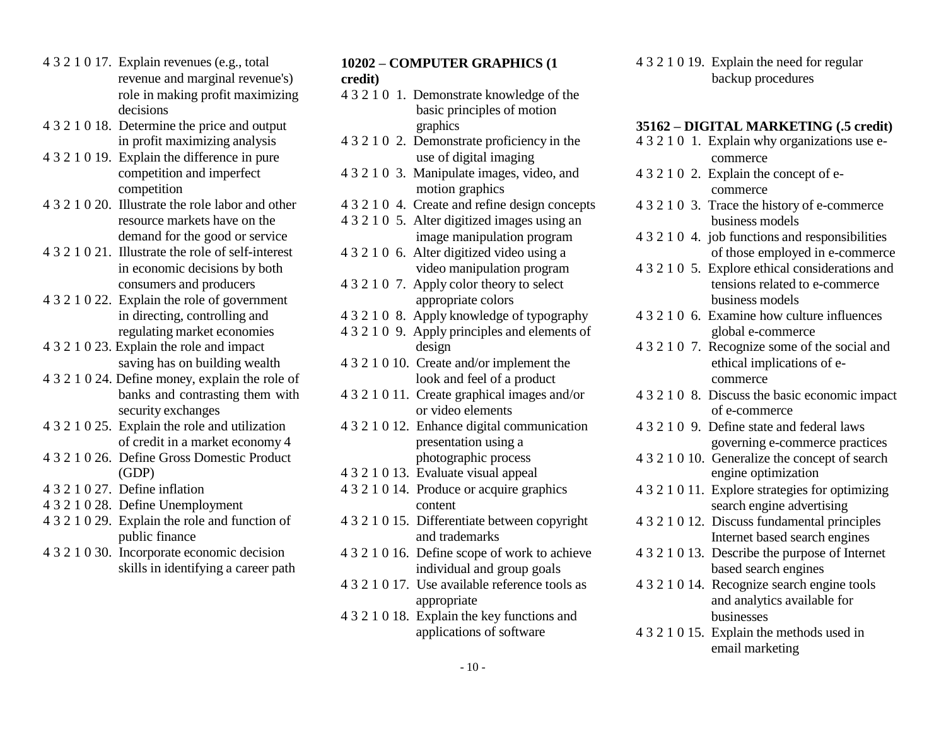- <span id="page-9-0"></span>4 3 2 1 0 17. Explain revenues (e.g., total revenue and marginal revenue's)
- 4 3 2 1 0 18. Determine the price and output graphics **35162 DIGITAL MARKETING** (.5 credit) in profit maximizing analysis 4 3 2 1 0 2. Demonstrate proficiency in the
- 
- 
- 
- 
- 
- 4 3 2 1 0 24. Define money, explain the role of look and feel of a product commerce
- 
- 
- 4 3 2 1 0 27. Define inflation
- 4 3 2 1 0 28. Define Unemployment
- 4 3 2 1 0 29. Explain the role and function of public finance
- 4 3 2 1 0 30. Incorporate economic decision skills in identifying a career path

### **10202 – COMPUTER GRAPHICS (1 credit)**

- role in making profit maximizing 4 3 2 1 0 1. Demonstrate knowledge of the decisions basic principles of motion basic principles of motion
- 4 3 2 1 0 19. Explain the difference in pure use of digital imaging commerce
	- competition motion graphics commerce
		-
	- resource markets have on the 4 3 2 1 0 5. Alter digitized images using an business models
		-
- 4 3 2 1 0 22. Explain the role of government appropriate colors business models
	-
	- -
	-
	-
	- (GDP) 4 3 2 1 0 13. Evaluate visual appeal engine optimization
		- 4 3 2 1 0 14. Produce or acquire graphics content
		- 4 3 2 1 0 15. Differentiate between copyright and trademarks
		- 4 3 2 1 0 16. Define scope of work to achieve individual and group goals
		- 4 3 2 1 0 17. Use available reference tools as appropriate
		- 4 3 2 1 0 18. Explain the key functions and applications of software

4 3 2 1 0 19. Explain the need for regular backup procedures

4 3 2 1 0 1. Explain why organizations use ecompetition and imperfect 4 3 2 1 0 3. Manipulate images, video, and 4 3 2 1 0 2. Explain the concept of e-4 3 2 1 0 20. Illustrate the role labor and other 4 3 2 1 0 4. Create and refine design concepts 4 3 2 1 0 3. Trace the history of e-commerce demand for the good or service image manipulation program 4 3 2 1 0 4. job functions and responsibilities 4 3 2 1 0 21. Illustrate the role of self-interest 4 3 2 1 0 6. Alter digitized video using a of those employed in e-commerce in economic decisions by both video manipulation program 4 3 2 1 0 5. Explore ethical considerations and consumers and producers 4 3 2 1 0 7. Apply color theory to select tensions related to e-commerce in directing, controlling and 4 3 2 1 0 8. Apply knowledge of typography 4 3 2 1 0 6. Examine how culture influences regulating market economies 4 3 2 1 0 9. Apply principles and elements of global e-commerce design 4 3 2 1 0 23. Explain the role and impact 4 3 2 1 0 7. Recognize some of t design 4 3 2 1 0 7. Recognize some of the social and saving has on building wealth 4 3 2 1 0 10. Create and/or implement the ethical implications of ebanks and contrasting them with 4 3 2 1 0 11. Create graphical images and/or 4 3 2 1 0 8. Discuss the basic economic impact security exchanges or video elements of e-commerce of e-commerce 4 3 2 1 0 25. Explain the role and utilization 4 3 2 1 0 12. Enhance digital communication 4 3 2 1 0 9. Define state and 4 3 2 1 0 12. Enhance digital communication 4 3 2 1 0 9. Define state and federal laws of credit in a market economy 4 presentation using a governing e-commerce practices 4 3 2 1 0 26. Define Gross Domestic Product photographic process 4 3 2 1 0 10. Generalize the concept of search 4 3 2 1 0 11. Explore strategies for optimizing search engine advertising 4 3 2 1 0 12. Discuss fundamental principles Internet based search engines 4 3 2 1 0 13. Describe the purpose of Internet based search engines 4 3 2 1 0 14. Recognize search engine tools and analytics available for businesses 4 3 2 1 0 15. Explain the methods used in email marketing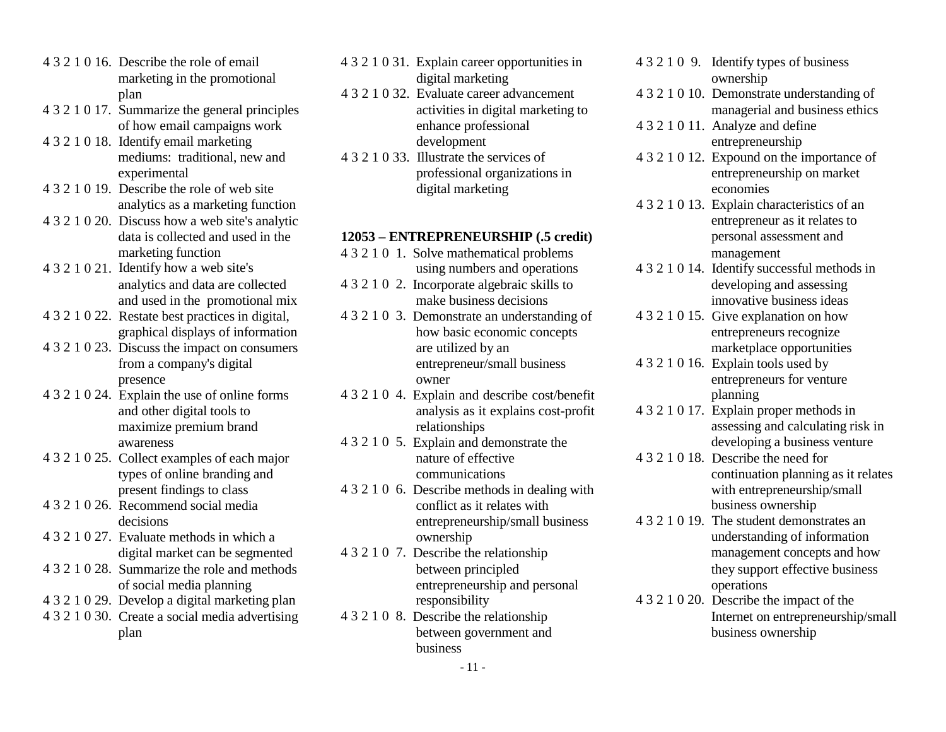- <span id="page-10-0"></span>4 3 2 1 0 16. Describe the role of email marketing in the promotional plan
- 4 3 2 1 0 17. Summarize the general principles of how email campaigns work
- 4 3 2 1 0 18. Identify email marketing mediums: traditional, new and experimental
- 4 3 2 1 0 19. Describe the role of web site analytics as a marketing function
- 4 3 2 1 0 20. Discuss how a web site's analytic data is collected and used in the marketing function
- 4 3 2 1 0 21. Identify how a web site's analytics and data are collected and used in the promotional mix
- 4 3 2 1 0 22. Restate best practices in digital, graphical displays of information
- 4 3 2 1 0 23. Discuss the impact on consumers from a company's digital presence
- 4 3 2 1 0 24. Explain the use of online forms and other digital tools to maximize premium brand awareness
- 4 3 2 1 0 25. Collect examples of each major types of online branding and present findings to class
- 4 3 2 1 0 26. Recommend social media decisions
- 4 3 2 1 0 27. Evaluate methods in which a digital market can be segmented
- 4 3 2 1 0 28. Summarize the role and methods of social media planning
- 4 3 2 1 0 29. Develop a digital marketing plan
- 4 3 2 1 0 30. Create a social media advertising plan
- 4 3 2 1 0 31. Explain career opportunities in digital marketing
- 4 3 2 1 0 32. Evaluate career advancement activities in digital marketing to enhance professional development
- 4 3 2 1 0 33. Illustrate the services of professional organizations in digital marketing

#### **12053 – ENTREPRENEURSHIP (.5 credit)**

- 4 3 2 1 0 1. Solve mathematical problems using numbers and operations
- 4 3 2 1 0 2. Incorporate algebraic skills to make business decisions
- 4 3 2 1 0 3. Demonstrate an understanding of how basic economic concepts are utilized by an entrepreneur/small business owner
- 4 3 2 1 0 4. Explain and describe cost/benefit analysis as it explains cost-profit relationships
- 4 3 2 1 0 5. Explain and demonstrate the nature of effective communications
- 4 3 2 1 0 6. Describe methods in dealing with conflict as it relates with entrepreneurship/small business ownership
- 4 3 2 1 0 7. Describe the relationship between principled entrepreneurship and personal responsibility
- 4 3 2 1 0 8. Describe the relationship between government and business
- 4 3 2 1 0 9. Identify types of business ownership 4 3 2 1 0 10. Demonstrate understanding of
- managerial and business ethics
- 4 3 2 1 0 11. Analyze and define entrepreneurship
- 4 3 2 1 0 12. Expound on the importance of entrepreneurship on market economies
- 4 3 2 1 0 13. Explain characteristics of an entrepreneur as it relates to personal assessment and management
- 4 3 2 1 0 14. Identify successful methods in developing and assessing innovative business ideas
- 4 3 2 1 0 15. Give explanation on how entrepreneurs recognize marketplace opportunities
- 4 3 2 1 0 16. Explain tools used by entrepreneurs for venture planning
- 4 3 2 1 0 17. Explain proper methods in assessing and calculating risk in developing a business venture
- 4 3 2 1 0 18. Describe the need for continuation planning as it relates with entrepreneurship/small business ownership
- 4 3 2 1 0 19. The student demonstrates an understanding of information management concepts and how they support effective business operations
- 4 3 2 1 0 20. Describe the impact of the Internet on entrepreneurship/small business ownership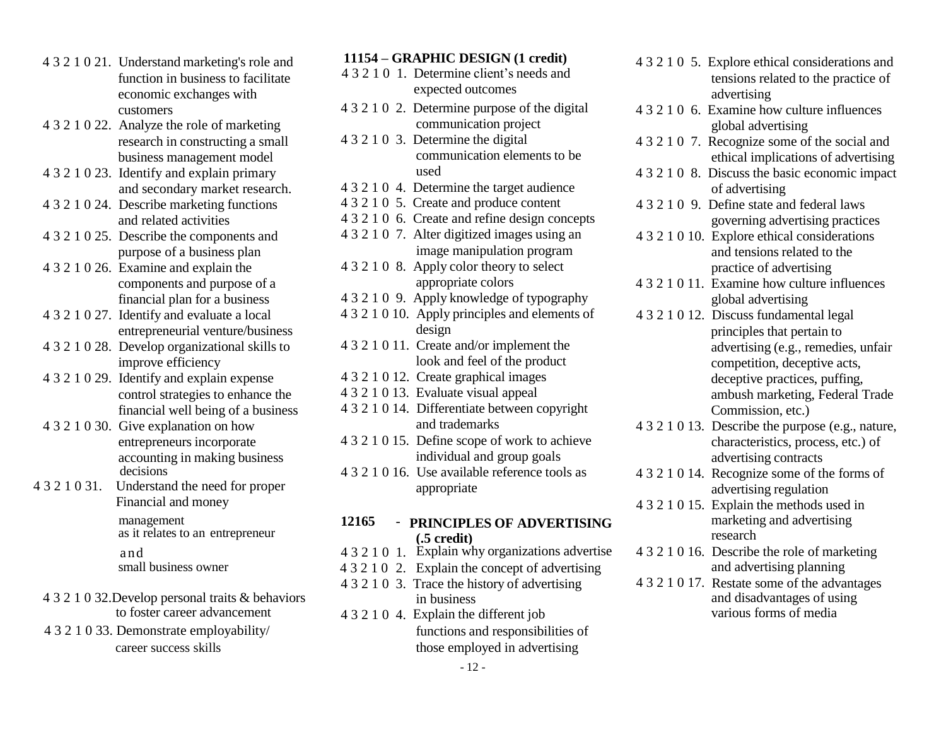- <span id="page-11-0"></span>4 3 2 1 0 21. Understand marketing's role and function in business to facilitate economic exchanges with customers
- 4 3 2 1 0 22. Analyze the role of marketing research in constructing a small business management model
- 4 3 2 1 0 23. Identify and explain primary and secondary market research.
- 4 3 2 1 0 24. Describe marketing functions and related activities
- 4 3 2 1 0 25. Describe the components and purpose of a business plan
- 4 3 2 1 0 26. Examine and explain the components and purpose of a financial plan for a business
- 4 3 2 1 0 27. Identify and evaluate a local entrepreneurial venture/business
- 4 3 2 1 0 28. Develop organizational skills to improve efficiency
- 4 3 2 1 0 29. Identify and explain expense control strategies to enhance the financial well being of a business
- 4 3 2 1 0 30. Give explanation on how entrepreneurs incorporate accounting in making business decisions
- 4 3 2 1 0 31. Understand the need for proper Financial and money

management as it relates to an entrepreneur

- 4 3 2 1 0 32.Develop personal traits & behaviors to foster career advancement
- 

#### **11154 – GRAPHIC DESIGN (1 credit)**

- 4 3 2 1 0 1. Determine client's needs and expected outcomes
- 4 3 2 1 0 2. Determine purpose of the digital communication project
- 4 3 2 1 0 3. Determine the digital communication elements to be used
- 4 3 2 1 0 4. Determine the target audience
- 4 3 2 1 0 5. Create and produce content
- 4 3 2 1 0 6. Create and refine design concepts
- 4 3 2 1 0 7. Alter digitized images using an image manipulation program 4 3 2 1 0 8. Apply color theory to select
- appropriate colors
- 4 3 2 1 0 9. Apply knowledge of typography
- 4 3 2 1 0 10. Apply principles and elements of design
- 4 3 2 1 0 11. Create and/or implement the look and feel of the product
- 4 3 2 1 0 12. Create graphical images
- 4 3 2 1 0 13. Evaluate visual appeal
- 4 3 2 1 0 14. Differentiate between copyright and trademarks
- 4 3 2 1 0 15. Define scope of work to achieve individual and group goals
- 4 3 2 1 0 16. Use available reference tools as appropriate

#### **12165** - **PRINCIPLES OF ADVERTISING (.5 credit)**

- and 4 3 2 1 0 1. Explain why organizations advertise 4 3 2 1 0 16. Describe the role of marketing
- small business owner 4 3 2 1 0 2. Explain the concept of advertising and advertising planning<br>4 3 2 1 0 3. Trace the history of advertising 4 3 2 1 0 17. Restate some of the advantages
	- $432103$ . Trace the history of advertising in business
- 4 3 2 1 0 4. Explain the different job 4 3 2 1 0 33. Demonstrate employability/ functions and responsibilities of career success skills those employed in advertising
- 4 3 2 1 0 5. Explore ethical considerations and tensions related to the practice of advertising
- 4 3 2 1 0 6. Examine how culture influences global advertising
- 4 3 2 1 0 7. Recognize some of the social and ethical implications of advertising
- 4 3 2 1 0 8. Discuss the basic economic impact of advertising
- 4 3 2 1 0 9. Define state and federal laws governing advertising practices
- 4 3 2 1 0 10. Explore ethical considerations and tensions related to the practice of advertising
- 4 3 2 1 0 11. Examine how culture influences global advertising
- 4 3 2 1 0 12. Discuss fundamental legal principles that pertain to advertising (e.g., remedies, unfair competition, deceptive acts, deceptive practices, puffing, ambush marketing, Federal Trade Commission, etc.)
- 4 3 2 1 0 13. Describe the purpose (e.g., nature, characteristics, process, etc.) of advertising contracts
- 4 3 2 1 0 14. Recognize some of the forms of advertising regulation
- 4 3 2 1 0 15. Explain the methods used in marketing and advertising research
- 
- and disadvantages of using various forms of media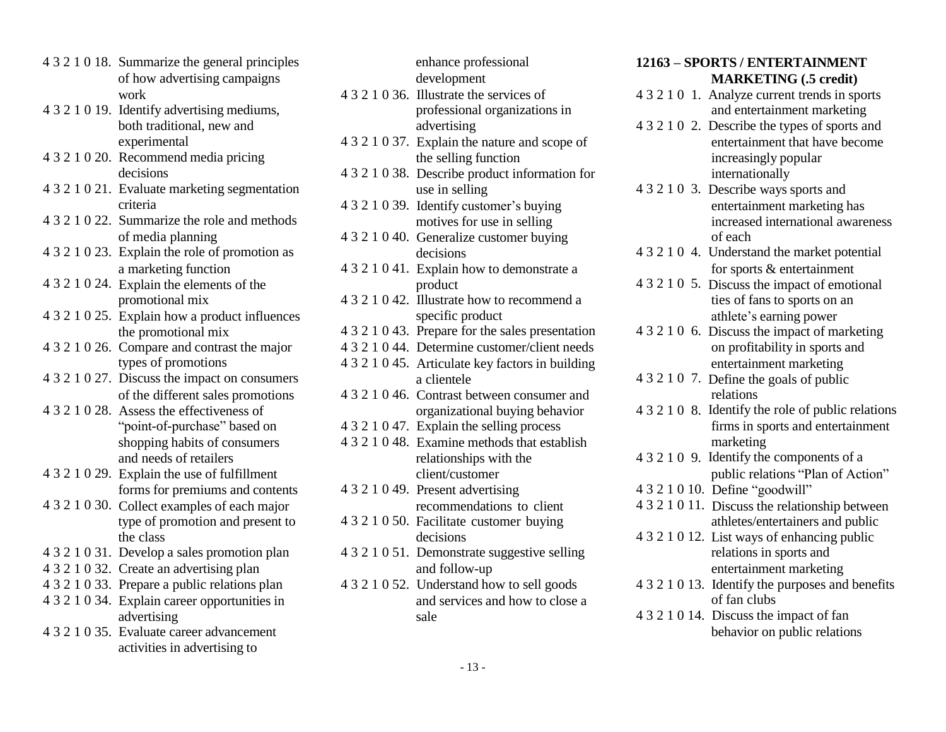- 4 3 2 1 0 18. Summarize the general principles of how advertising campaigns work
- 4 3 2 1 0 19. Identify advertising mediums, experimental
- 4 3 2 1 0 20. Recommend media pricing decisions
- 4 3 2 1 0 21. Evaluate marketing segmentation criteria
- 4 3 2 1 0 22. Summarize the role and methods of media planning
- 4 3 2 1 0 23. Explain the role of promotion as a marketing function
- 4 3 2 1 0 24. Explain the elements of the
- 4 3 2 1 0 25. Explain how a product influences the promotional mix
- types of promotions
- 4 3 2 1 0 27. Discuss the impact on consumers of the different sales promotions
- 4 3 2 1 0 28. Assess the effectiveness of shopping habits of consumers and needs of retailers
- 4 3 2 1 0 29. Explain the use of fulfillment forms for premiums and contents
- 4 3 2 1 0 30. Collect examples of each major type of promotion and present to the class
- 
- 
- 
- 4 3 2 1 0 34. Explain career opportunities in advertising
- activities in advertising to

<span id="page-12-0"></span>

|   |                                                | enhance professional                             | 12163 - SPORTS / ENTERTAINMENT                     |
|---|------------------------------------------------|--------------------------------------------------|----------------------------------------------------|
|   | 4 3 2 1 0 18. Summarize the general principles |                                                  |                                                    |
|   | of how advertising campaigns<br>work           | development                                      | <b>MARKETING</b> (.5 credit)                       |
|   |                                                | 4 3 2 1 0 36. Illustrate the services of         | 4 3 2 1 0 1. Analyze current trends in sports      |
|   | 4 3 2 1 0 19. Identify advertising mediums,    | professional organizations in                    | and entertainment marketing                        |
|   | both traditional, new and                      | advertising                                      | 4 3 2 1 0 2. Describe the types of sports and      |
|   | experimental                                   | 4 3 2 1 0 37. Explain the nature and scope of    | entertainment that have become                     |
|   | 4 3 2 1 0 20. Recommend media pricing          | the selling function                             | increasingly popular                               |
|   | decisions                                      | 4 3 2 1 0 38. Describe product information for   | internationally                                    |
|   | 4 3 2 1 0 21. Evaluate marketing segmentation  | use in selling                                   | 4 3 2 1 0 3. Describe ways sports and              |
|   | criteria                                       | 4 3 2 1 0 39. Identify customer's buying         | entertainment marketing has                        |
|   | 4 3 2 1 0 22. Summarize the role and methods   | motives for use in selling                       | increased international awareness                  |
|   | of media planning                              | 4 3 2 1 0 40. Generalize customer buying         | of each                                            |
|   | 4 3 2 1 0 23. Explain the role of promotion as | decisions                                        | 4 3 2 1 0 4. Understand the market potential       |
|   | a marketing function                           | 4 3 2 1 0 41. Explain how to demonstrate a       | for sports & entertainment                         |
|   | 4 3 2 1 0 24. Explain the elements of the      | product                                          | 4 3 2 1 0 5. Discuss the impact of emotional       |
|   | promotional mix                                | 4 3 2 1 0 42. Illustrate how to recommend a      | ties of fans to sports on an                       |
|   | 4 3 2 1 0 25. Explain how a product influences | specific product                                 | athlete's earning power                            |
|   | the promotional mix                            | 4 3 2 1 0 43. Prepare for the sales presentation | 4 3 2 1 0 6. Discuss the impact of marketing       |
|   | 4 3 2 1 0 26. Compare and contrast the major   | 4 3 2 1 0 44. Determine customer/client needs    | on profitability in sports and                     |
|   | types of promotions                            | 4 3 2 1 0 45. Articulate key factors in building | entertainment marketing                            |
|   | 4 3 2 1 0 27. Discuss the impact on consumers  | a clientele                                      | 4 3 2 1 0 7. Define the goals of public            |
|   | of the different sales promotions              | 4 3 2 1 0 46. Contrast between consumer and      | relations                                          |
|   | 4 3 2 1 0 28. Assess the effectiveness of      | organizational buying behavior                   | 4 3 2 1 0 8. Identify the role of public relations |
|   | "point-of-purchase" based on                   | 4 3 2 1 0 47. Explain the selling process        | firms in sports and entertainment                  |
|   | shopping habits of consumers                   | 4 3 2 1 0 48. Examine methods that establish     | marketing                                          |
|   | and needs of retailers                         | relationships with the                           | 4 3 2 1 0 9. Identify the components of a          |
|   | 4 3 2 1 0 29. Explain the use of fulfillment   | client/customer                                  | public relations "Plan of Action"                  |
|   | forms for premiums and contents                | 4 3 2 1 0 49. Present advertising                | 4 3 2 1 0 10. Define "goodwill"                    |
|   | 4 3 2 1 0 30. Collect examples of each major   | recommendations to client                        | 4 3 2 1 0 11. Discuss the relationship between     |
|   | type of promotion and present to               | 4 3 2 1 0 50. Facilitate customer buying         | athletes/entertainers and public                   |
|   | the class                                      | decisions                                        | 4 3 2 1 0 12. List ways of enhancing public        |
|   | 4 3 2 1 0 31. Develop a sales promotion plan   | 4 3 2 1 0 51. Demonstrate suggestive selling     | relations in sports and                            |
|   | 4 3 2 1 0 32. Create an advertising plan       | and follow-up                                    | entertainment marketing                            |
|   | 4 3 2 1 0 33. Prepare a public relations plan  | 4 3 2 1 0 52. Understand how to sell goods       | 4 3 2 1 0 13. Identify the purposes and benefits   |
|   | 4 3 2 1 0 34. Explain career opportunities in  | and services and how to close a                  | of fan clubs                                       |
|   | advertising                                    | sale                                             | 4 3 2 1 0 14. Discuss the impact of fan            |
| . |                                                |                                                  |                                                    |

#### **12163 – SPORTS / ENTERTAINMENT MARKETING (.5 credit)**

- 4 3 2 1 0 1. Analyze current trends in sports and entertainment marketing
- entertainment that have become increasingly popular internationally
- use in selling 4 3 2 1 0 3. Describe ways sports and entertainment marketing has increased international awareness of each
- decisions 4 3 2 1 0 4. Understand the market potential for sports & entertainment
- product 4 3 2 1 0 5. Discuss the impact of emotional athlete's earning power
- Prepare for the sales presentation 43210 6. Discuss the impact of marketing entertainment marketing
- a clientele 4 3 2 1 0 7. Define the goals of public relations
- organizational buying behavior 4 3 2 1 0 8. Identify the role of public relations marketing
- relationships with the 432109. Identify the components of a public relations "Plan of Action"
	-
	- 4 3 2 1 0 11. Discuss the relationship between athletes/entertainers and public
	- 4 3 2 1 0 12. List ways of enhancing public
	- of fan clubs
- sale 4 3 2 1 0 14. Discuss the impact of fan 4 3 2 1 0 35. Evaluate career advancement behavior on public relations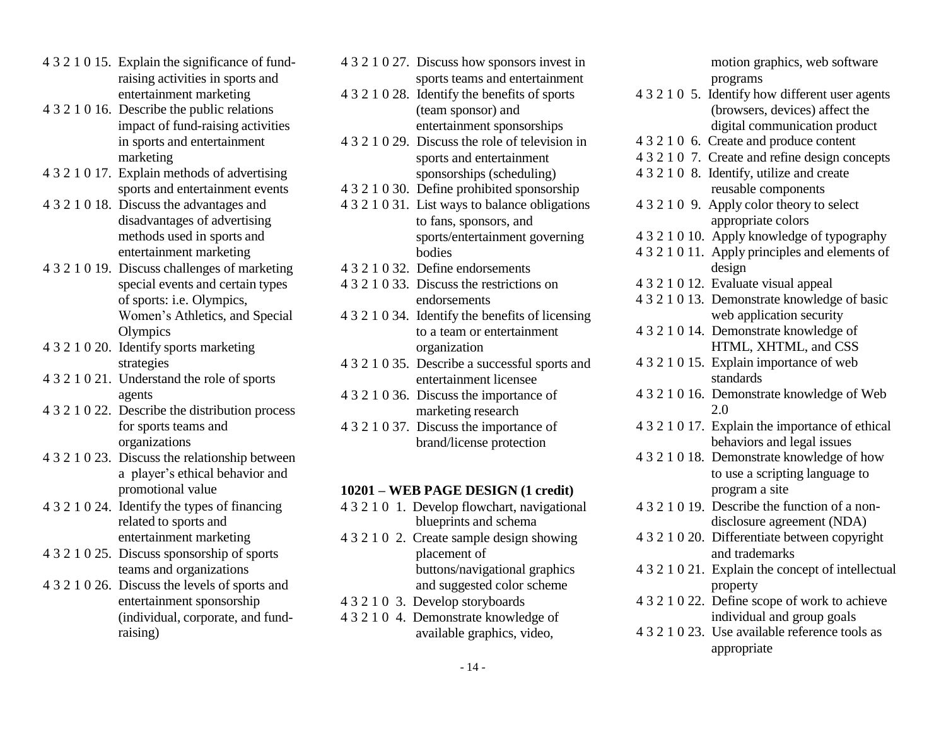- <span id="page-13-0"></span>4 3 2 1 0 15. Explain the significance of fundraising activities in sports and entertainment marketing
- 4 3 2 1 0 16. Describe the public relations impact of fund-raising activities in sports and entertainment marketing
- 4 3 2 1 0 17. Explain methods of advertising sports and entertainment events
- 4 3 2 1 0 18. Discuss the advantages and disadvantages of advertising methods used in sports and entertainment marketing
- 4 3 2 1 0 19. Discuss challenges of marketing special events and certain types of sports: i.e. Olympics, Women's Athletics, and Special **Olympics**
- 4 3 2 1 0 20. Identify sports marketing strategies
- 4 3 2 1 0 21. Understand the role of sports agents
- 4 3 2 1 0 22. Describe the distribution process for sports teams and organizations
- 4 3 2 1 0 23. Discuss the relationship between a player's ethical behavior and promotional value
- 4 3 2 1 0 24. Identify the types of financing related to sports and
- 4 3 2 1 0 25. Discuss sponsorship of sports placement of placement of
- 4 3 2 1 0 26. Discuss the levels of sports and and suggested color scheme (individual, corporate, and fundraising)

4 3 2 1 0 27. Discuss how sponsors invest in sports teams and entertainment 4 3 2 1 0 28. Identify the benefits of sports (team sponsor) and entertainment sponsorships 4 3 2 1 0 29. Discuss the role of television in sports and entertainment sponsorships (scheduling) 4 3 2 1 0 30. Define prohibited sponsorship 4 3 2 1 0 31. List ways to balance obligations to fans, sponsors, and sports/entertainment governing bodies 4 3 2 1 0 32. Define endorsements 4 3 2 1 0 33. Discuss the restrictions on endorsements 4 3 2 1 0 34. Identify the benefits of licensing to a team or entertainment organization 4 3 2 1 0 35. Describe a successful sports and entertainment licensee 4 3 2 1 0 36. Discuss the importance of marketing research 4 3 2 1 0 37. Discuss the importance of brand/license protection

## **10201 – WEB PAGE DESIGN (1 credit)**

- 4 3 2 1 0 1. Develop flowchart, navigational blueprints and schema
- entertainment marketing 4 3 2 1 0 2. Create sample design showing teams and organizations buttons/navigational graphics  $\overline{b}$
- entertainment sponsorship 4 3 2 1 0 3. Develop storyboards
	- 4 3 2 1 0 4. Demonstrate knowledge of available graphics, video,

|  | motion graphics, web software                               |
|--|-------------------------------------------------------------|
|  | programs<br>4 3 2 1 0 5. Identify how different user agents |
|  | (browsers, devices) affect the                              |
|  | digital communication product                               |
|  | 4 3 2 1 0 6. Create and produce content                     |
|  | 4 3 2 1 0 7. Create and refine design concepts              |
|  | 43210 8. Identify, utilize and create                       |
|  | reusable components                                         |
|  | 4 3 2 1 0 9. Apply color theory to select                   |
|  | appropriate colors                                          |
|  | 4321010. Apply knowledge of typography                      |
|  | 4 3 2 1 0 11. Apply principles and elements of              |
|  | design                                                      |
|  | 4 3 2 1 0 12. Evaluate visual appeal                        |
|  | 4 3 2 1 0 13. Demonstrate knowledge of basic                |
|  | web application security                                    |
|  | 4321014. Demonstrate knowledge of                           |
|  | HTML, XHTML, and CSS                                        |
|  | 4 3 2 1 0 15. Explain importance of web                     |
|  | standards                                                   |
|  | 4321016. Demonstrate knowledge of Web                       |
|  | 2.0                                                         |
|  | 4 3 2 1 0 17. Explain the importance of ethical             |
|  | behaviors and legal issues                                  |
|  | 4 3 2 1 0 18. Demonstrate knowledge of how                  |
|  | to use a scripting language to                              |
|  | program a site                                              |
|  | 4 3 2 1 0 19. Describe the function of a non-               |
|  | disclosure agreement (NDA)                                  |
|  | 4 3 2 1 0 20. Differentiate between copyright               |
|  | and trademarks                                              |
|  | 4 3 2 1 0 21. Explain the concept of intellectual           |
|  | property                                                    |
|  | 4 3 2 1 0 22. Define scope of work to achieve               |
|  | individual and group goals                                  |
|  | 4 3 2 1 0 23. Use available reference tools as              |
|  | appropriate                                                 |
|  |                                                             |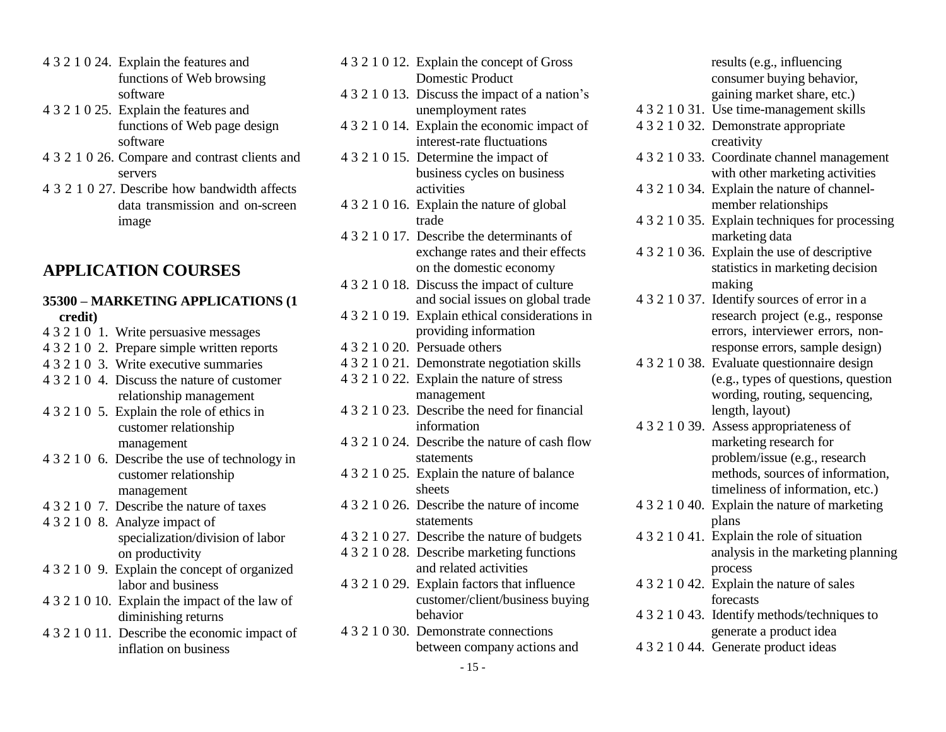- <span id="page-14-0"></span>4 3 2 1 0 24. Explain the features and functions of Web browsing software
- 4 3 2 1 0 25. Explain the features and functions of Web page design software
- 4 3 2 1 0 26. Compare and contrast clients and servers
- 4 3 2 1 0 27. Describe how bandwidth affects data transmission and on-screen image

# **APPLICATION COURSES**

# **35300 – MARKETING APPLICATIONS (1**

- 4 3 2 1 0 1. Write persuasive messages
- 4 3 2 1 0 2. Prepare simple written reports 4 3 2 1 0 20. Persuade others
- 
- 
- 4 3 2 1 0 5. Explain the role of ethics in 4 3 2 1 0 23. Describe the neutron relationship customer relationship
- 4 3 2 1 0 6. Describe the use of technology in statements
- 
- 4 3 2 1 0 8. Analyze impact of specialization/division of labor
- 4 3 2 1 0 9. Explain the concept of organized and related activities
- 4 3 2 1 0 10. Explain the impact of the law of diminishing returns
- 4 3 2 1 0 11. Describe the economic impact of inflation on business
- 4 3 2 1 0 12. Explain the concept of Gross Domestic Product 4 3 2 1 0 13. Discuss the impact of a nation's unemployment rates 4 3 2 1 0 14. Explain the economic impact of interest-rate fluctuations 4 3 2 1 0 15. Determine the impact of business cycles on business activities 4 3 2 1 0 16. Explain the nature of global trade 4 3 2 1 0 17. Describe the determinants of exchange rates and their effects on the domestic economy 4 3 2 1 0 18. Discuss the impact of culture and social issues on global trade **credit**)<br>  $4 \ 3 \ 2 \ 1 \ 0 \ 19$ . Explain ethical considerations in<br>
providing information<br>
providing information 4 3 2 1 0 3. Write executive summaries 4 3 2 1 0 21. Demonstrate negotiation skills 4 3 2 1 0 4. Discuss the nature of customer  $4$  3 2 1 0 22. Explain the nature of stress relationship management<br>Explain the role of ethics in  $\begin{array}{r} 4321023.$  Describe the need for financial management 4 3 2 1 0 24. Describe the nature of cash flow customer relationship 4 3 2 1 0 25. Explain the nature of balance management sheets sheets timeliness of information, etc.) 4 3 2 1 0 7. Describe the nature of taxes 4 3 2 1 0 26. Describe the nature of income statements 4 3 2 1 0 27. Describe the nature of budgets on productivity 4 3 2 1 0 28. Describe marketing functions labor and business  $4321029$ . Explain factors that influence customer/client/business buying behavior 4 3 2 1 0 30. Demonstrate connections between company actions and

|               | results (e.g., influencing                      |
|---------------|-------------------------------------------------|
|               | consumer buying behavior,                       |
|               | gaining market share, etc.)                     |
|               | 4 3 2 1 0 31. Use time-management skills        |
|               | 4 3 2 1 0 32. Demonstrate appropriate           |
|               | creativity                                      |
|               | 4 3 2 1 0 33. Coordinate channel management     |
|               | with other marketing activities                 |
|               | 4 3 2 1 0 34. Explain the nature of channel-    |
|               | member relationships                            |
|               | 4 3 2 1 0 35. Explain techniques for processing |
|               | marketing data                                  |
|               | 4 3 2 1 0 36. Explain the use of descriptive    |
|               | statistics in marketing decision                |
|               | making                                          |
|               | 4321037. Identify sources of error in a         |
|               | research project (e.g., response                |
|               | errors, interviewer errors, non-                |
|               | response errors, sample design)                 |
| 4321038.      | Evaluate questionnaire design                   |
|               | (e.g., types of questions, question             |
|               | wording, routing, sequencing,                   |
|               | length, layout)                                 |
| 4 3 2 1 0 39. | Assess appropriateness of                       |
|               | marketing research for                          |
|               | problem/issue (e.g., research                   |
|               | methods, sources of information,                |
|               | timeliness of information, etc.)                |
|               | 4 3 2 1 0 40. Explain the nature of marketing   |
|               | plans                                           |
|               | 4321041. Explain the role of situation          |
|               | analysis in the marketing planning              |
|               | process                                         |
|               | 4 3 2 1 0 42. Explain the nature of sales       |
|               | forecasts                                       |
|               | 4 3 2 1 0 43. Identify methods/techniques to    |
|               | generate a product idea                         |
| 4321044.      | Generate product ideas                          |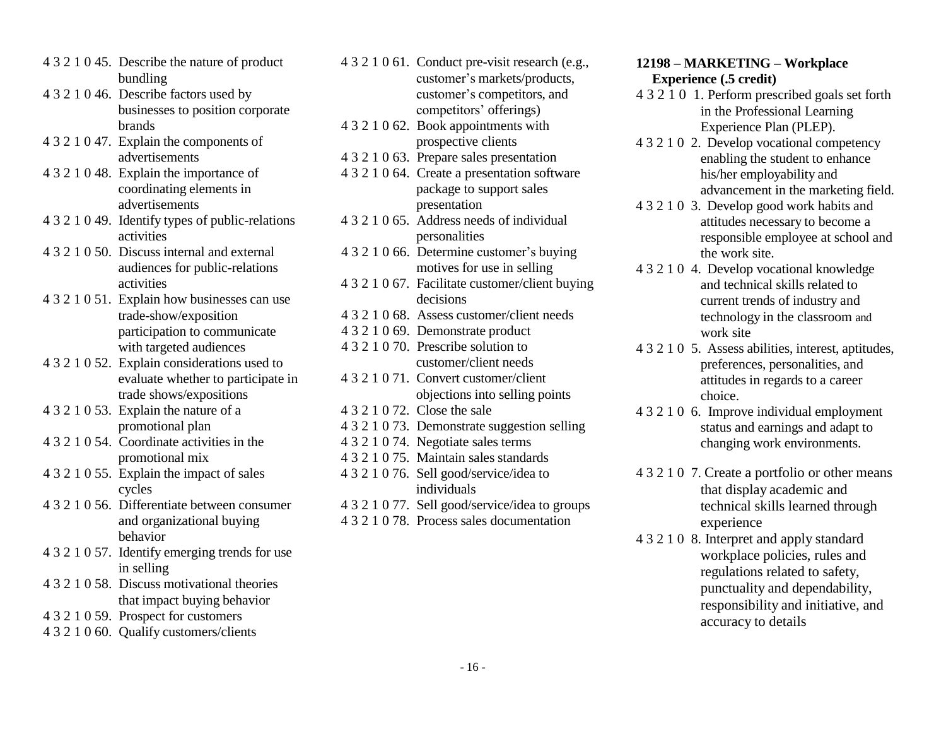- <span id="page-15-0"></span>4 3 2 1 0 45. Describe the nature of product bundling
- 4 3 2 1 0 46. Describe factors used by businesses to position corporate brands
- 4 3 2 1 0 47. Explain the components of advertisements
- 4 3 2 1 0 48. Explain the importance of coordinating elements in advertisements
- 4 3 2 1 0 49. Identify types of public-relations activities
- 4 3 2 1 0 50. Discuss internal and external audiences for public-relations activities
- 4 3 2 1 0 51. Explain how businesses can use trade-show/exposition participation to communicate with targeted audiences
- 4 3 2 1 0 52. Explain considerations used to evaluate whether to participate in trade shows/expositions
- 4 3 2 1 0 53. Explain the nature of a promotional plan
- 4 3 2 1 0 54. Coordinate activities in the promotional mix
- 4 3 2 1 0 55. Explain the impact of sales cycles
- 4 3 2 1 0 56. Differentiate between consumer and organizational buying behavior
- 4 3 2 1 0 57. Identify emerging trends for use in selling
- 4 3 2 1 0 58. Discuss motivational theories that impact buying behavior
- 4 3 2 1 0 59. Prospect for customers
- 4 3 2 1 0 60. Qualify customers/clients

| 4 3 2 1 0 61. Conduct pre-visit research (e.g., |
|-------------------------------------------------|
| customer's markets/products,                    |
| customer's competitors, and                     |
| competitors' offerings)                         |
| 4 3 2 1 0 62. Book appointments with            |
| prospective clients                             |
| 4 3 2 1 0 63. Prepare sales presentation        |
| 4 3 2 1 0 64. Create a presentation software    |
| package to support sales                        |
| presentation                                    |
| 4 3 2 1 0 65. Address needs of individual       |
| personalities                                   |
| 4 3 2 1 0 66. Determine customer's buying       |
| motives for use in selling                      |
| 4 3 2 1 0 67. Facilitate customer/client buying |
| decisions                                       |
| 4 3 2 1 0 68. Assess customer/client needs      |
| 4 3 2 1 0 69. Demonstrate product               |
| 4 3 2 1 0 70. Prescribe solution to             |
| customer/client needs                           |
| 4 3 2 1 0 71. Convert customer/client           |
| objections into selling points                  |
| 4 3 2 1 0 72. Close the sale                    |
| 4321073. Demonstrate suggestion selling         |
| 4 3 2 1 0 74. Negotiate sales terms             |
| 4321075. Maintain sales standards               |
| 4 3 2 1 0 76. Sell good/service/idea to         |
| individuals                                     |
| 4 3 2 1 0 77. Sell good/service/idea to groups  |
| 4 3 2 1 0 78. Process sales documentation       |

### **12198 – MARKETING – Workplace Experience (.5 credit)**

- 4 3 2 1 0 1. Perform prescribed goals set forth in the Professional Learning Experience Plan (PLEP).
- 4 3 2 1 0 2. Develop vocational competency enabling the student to enhance his/her employability and advancement in the marketing field.
- 4 3 2 1 0 3. Develop good work habits and attitudes necessary to become a responsible employee at school and the work site.
- 4 3 2 1 0 4. Develop vocational knowledge and technical skills related to current trends of industry and technology in the classroom and work site
- 4 3 2 1 0 5. Assess abilities, interest, aptitudes, preferences, personalities, and attitudes in regards to a career choice.
- 4 3 2 1 0 6. Improve individual employment status and earnings and adapt to changing work environments.
- 4 3 2 1 0 7. Create a portfolio or other means that display academic and technical skills learned through experience
- 4 3 2 1 0 8. Interpret and apply standard workplace policies, rules and regulations related to safety, punctuality and dependability, responsibility and initiative, and accuracy to details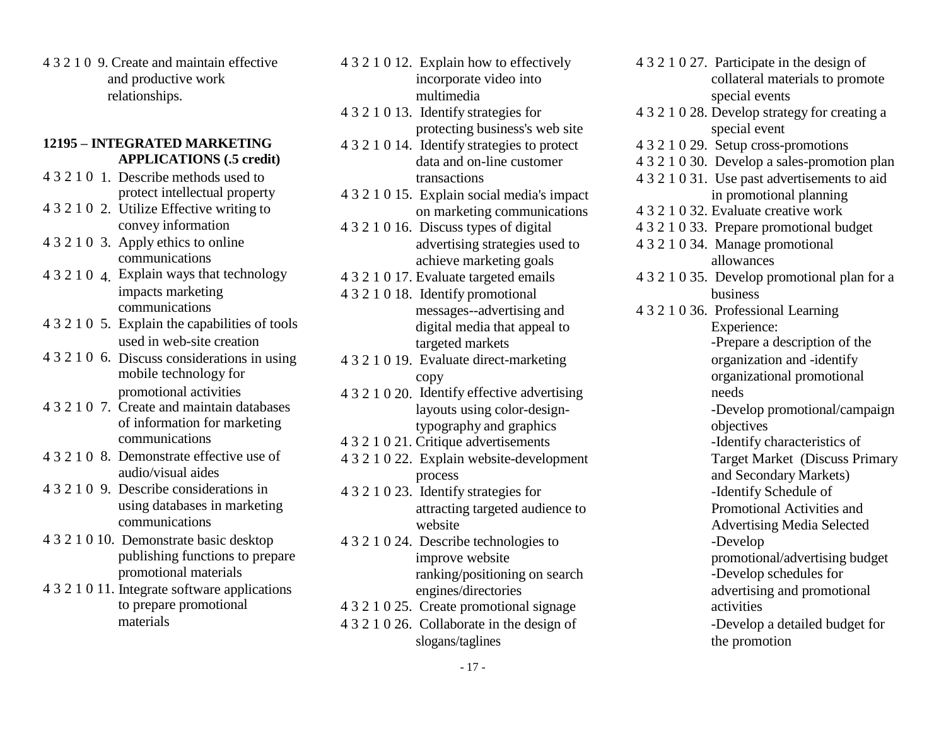4 3 2 1 0 9. Create and maintain effective and productive work relationships.

#### **12195 – INTEGRATED MARKETING APPLICATIONS (.5 credit)**

- 4 3 2 1 0 1. Describe methods used to protect intellectual property
- 4 3 2 1 0 2. Utilize Effective writing to
- 4 3 2 1 0 3. Apply ethics to online communications
- impacts marketing communications
- 4 3 2 1 0 5. Explain the capabilities of tools used in web-site creation
- 4 3 2 1 0 6. Discuss considerations in using mobile technology for promotional activities
- 4 3 2 1 0 7. Create and maintain databases of information for marketing
- 4 3 2 1 0 8. Demonstrate effective use of audio/visual aides
- 4 3 2 1 0 9. Describe considerations in using databases in marketing communications
- 4 3 2 1 0 10. Demonstrate basic desktop publishing functions to prepare promotional materials
- 4 3 2 1 0 11. Integrate software applications engines/directories advertising and promotional to prepare promotional 4 3 2 1 0 25. Create promotional signage
- 4 3 2 1 0 12. Explain how to effectively incorporate video into multimedia
- 4 3 2 1 0 13. Identify strategies for protecting business's web site
- 4 3 2 1 0 14. Identify strategies to protect data and on-line customer transactions
- 4 3 2 1 0 15. Explain social media's impact on marketing communications
- advertising strategies used to achieve marketing goals
- 
- 4 3 2 1 0 18. Identify promotional messages--advertising and digital media that appeal to targeted markets
- 4 3 2 1 0 19. Evaluate direct-marketing copy
- 4 3 2 1 0 20. Identify effective advertising layouts using color-designtypography and graphics
- 
- 4 3 2 1 0 22. Explain website-development process
- 4 3 2 1 0 23. Identify strategies for attracting targeted audience to website
- 4 3 2 1 0 24. Describe technologies to improve website ranking/positioning on search
- 4 3 2 1 0 25. Create promotional signage activities
- slogans/taglines the promotion
- <span id="page-16-0"></span>4 3 2 1 0 27. Participate in the design of collateral materials to promote special events 4 3 2 1 0 28. Develop strategy for creating a special event 4 3 2 1 0 29. Setup cross-promotions 4 3 2 1 0 30. Develop a sales-promotion plan 4 3 2 1 0 31. Use past advertisements to aid 4 3 2 1 0 32. Evaluate creative work in promotional planning convey information 4 3 2 1 0 16. Discuss types of digital 4 3 2 1 0 33. Prepare promotional budget 4 3 2 1 0 34. Manage promotional allowances 4 3 2 1 0 4. Explain ways that technology 4 3 2 1 0 17. Evaluate targeted emails 4 3 2 1 0 35. Develop promotional plan for a 4 3 2 1 0 36. Professional Learning business Experience: -Prepare a description of the organization and -identify organizational promotional needs -Develop promotional/campaign objectives communications 4 3 2 1 0 21. Critique advertisements -Identify characteristics of Target Market (Discuss Primary and Secondary Markets) -Identify Schedule of Promotional Activities and Advertising Media Selected -Develop promotional/advertising budget -Develop schedules for materials 4 3 2 1 0 26. Collaborate in the design of -Develop a detailed budget for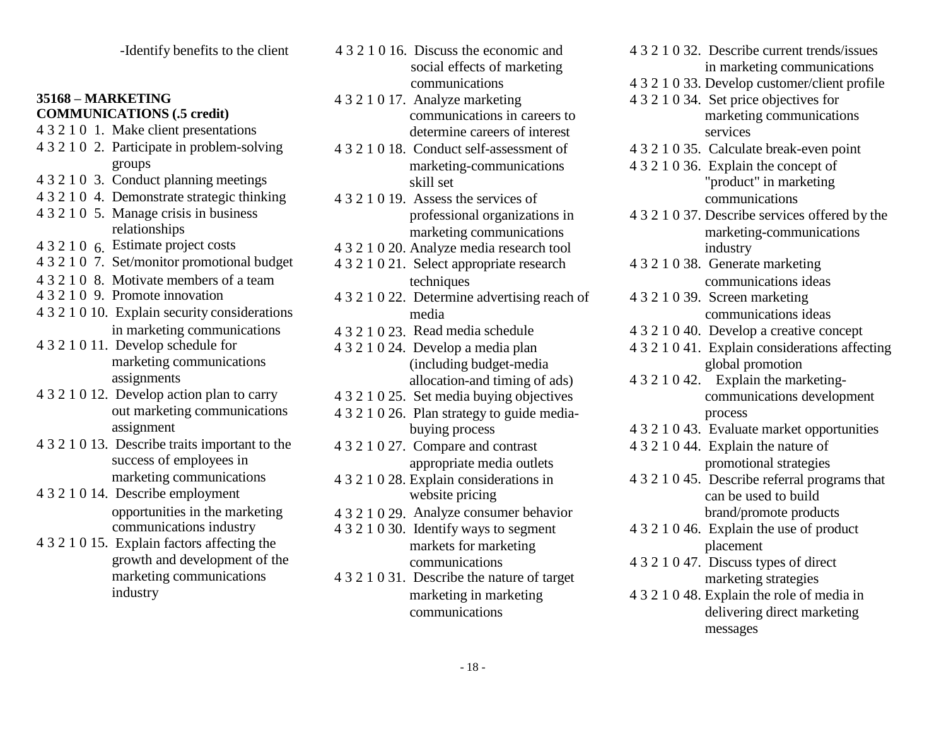- 
- 4 3 2 1 0 2. Participate in problem-solving 4 3 2 1 0 18. Conduct self-assessment of 4 3 2 1 0 35. Calculate break-even point groups
- 4 3 2 1 0 3. Conduct planning meetings
- 4 3 2 1 0 4. Demonstrate strategic thinking 4 3 2 1 0 19. Assess the services of communications
- 4 3 2 1 0 5. Manage crisis in business relationships
- 
- 
- 
- 
- 4 3 2 1 0 10. Explain security considerations in marketing communications
- 4 3 2 1 0 11. Develop schedule for marketing communications assignments
- out marketing communications assignment
- 4 3 2 1 0 13. Describe traits important to the success of employees in marketing communications
- 4 3 2 1 0 14. Describe employment communications industry
- 4 3 2 1 0 15. Explain factors affecting the growth and development of the marketing communications
- -Identify benefits to the client 4 3 2 1 0 16. Discuss the economic and social effects of marketing
- <span id="page-17-0"></span>**35168 – MARKETING** 4 3 2 1 0 17. Analyze marketing 4 3 2 1 0 34. Set price objectives for **COMMUNICATIONS** (.5 credit) communications in careers to marketing communications 4 3 2 1 0 1. Make client presentations determine careers of interest services
	- marketing-communications skill set
	- professional organizations in marketing communications
	-
- $4 3 2 1 0 21$ . Select appropriate research 4 3 2 1 0 8. Motivate members of a team techniques techniques communications ideas communications ideas communications ideas techniques communications ideas communications ideas techniques advertising reach of 4 3 2 1 0 39
	- 4 3 2 1 0 22. Determine advertising reach of 4 3 2 1 0 39. Screen marketing media
	- 4 3 2 1 0 23 Read media schedule
	- 4 3 2 1 0 24. Develop a media plan (including budget-media allocation-and timing of ads)
	-
	- 4 3 2 1 0 26. Plan strategy to guide mediabuying process
	- 4 3 2 1 0 27. Compare and contrast appropriate media outlets
	- 4 3 2 1 0 28. Explain considerations in website pricing
		-
	- 4 3 2 1 0 30. Identify ways to segment markets for marketing communications
	- 4 3 2 1 0 31. Describe the nature of target industry marketing in marketing 4 3 2 1 0 48. Explain the role of media in
- 4 3 2 1 0 32. Describe current trends/issues in marketing communications
- communications 4 3 2 1 0 33. Develop customer/client profile
	-
	-
	- 4 3 2 1 0 36. Explain the concept of "product" in marketing
- 4 3 2 1 0 37. Describe services offered by the marketing-communications 4 3 2 1 0 6. Estimate project costs<br>4 3 2 1 0 20. Analyze media research tool industry industry<br>4 3 2 1 0 21. Select appropriate research 4 3 2 1 0 38. Generate marketing
	-
	- communications ideas
	- 4 3 2 1 0 40. Develop a creative concept
	- 4 3 2 1 0 41. Explain considerations affecting global promotion
- 4 3 2 1 0 42. Explain the marketing-4 3 2 1 0 12. Develop action plan to carry 4 3 2 1 0 25. Set media buying objectives communications development process
	- 4 3 2 1 0 43. Evaluate market opportunities
	- 4 3 2 1 0 44. Explain the nature of promotional strategies
	- 4 3 2 1 0 45. Describe referral programs that can be used to build opportunities in the marketing 4 3 2 1 0 29. Analyze consumer behavior brand/promote products
		- 4 3 2 1 0 46. Explain the use of product placement
		- 4 3 2 1 0 47. Discuss types of direct marketing strategies
		- communications delivering direct marketing messages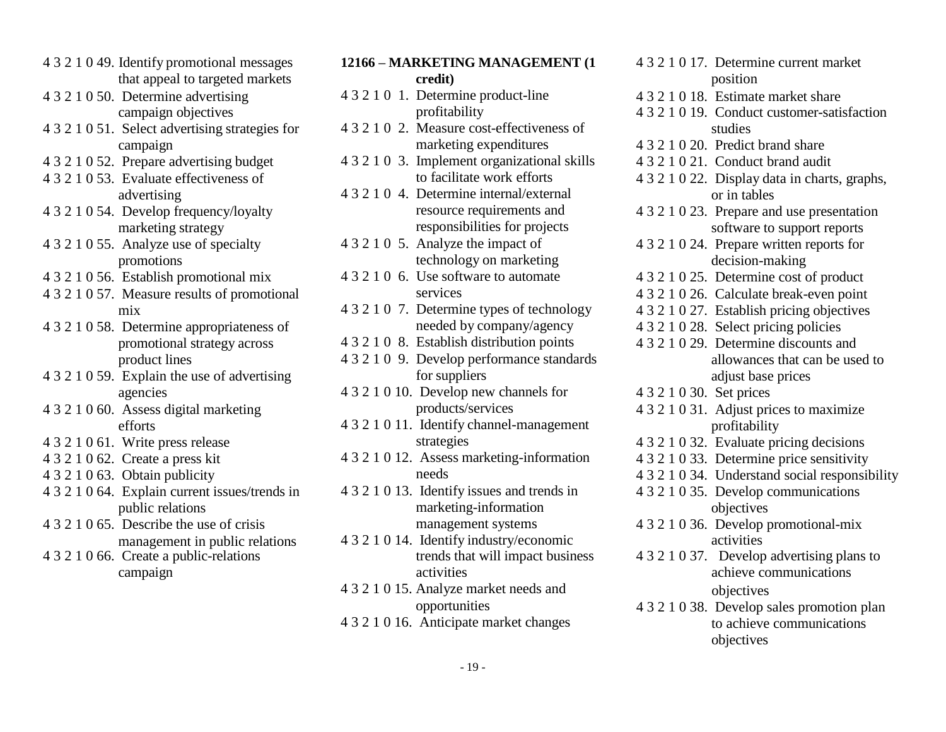- <span id="page-18-0"></span>4 3 2 1 0 49. Identify promotional messages that appeal to targeted markets
- 
- 
- 
- 
- 
- 
- 
- 
- 
- 
- 
- 
- 
- 
- 
- management in public relations
- 4 3 2 1 0 66. Create a public-relations

| that appeal to targeted markets                 | credit)                                      |                          | position                                       |
|-------------------------------------------------|----------------------------------------------|--------------------------|------------------------------------------------|
| 4 3 2 1 0 50. Determine advertising             | 4 3 2 1 0 1. Determine product-line          |                          | 4 3 2 1 0 18. Estimate market share            |
| campaign objectives                             | profitability                                |                          | 4 3 2 1 0 19. Conduct customer-satisfaction    |
| 4 3 2 1 0 51. Select advertising strategies for | 43210 2. Measure cost-effectiveness of       |                          | studies                                        |
| campaign                                        | marketing expenditures                       |                          | 4 3 2 1 0 20. Predict brand share              |
| 4 3 2 1 0 52. Prepare advertising budget        | 4 3 2 1 0 3. Implement organizational skills |                          | 4 3 2 1 0 21. Conduct brand audit              |
| 4 3 2 1 0 53. Evaluate effectiveness of         | to facilitate work efforts                   |                          | 4 3 2 1 0 22. Display data in charts, graphs,  |
| advertising                                     | 4 3 2 1 0 4. Determine internal/external     |                          | or in tables                                   |
| 4 3 2 1 0 54. Develop frequency/loyalty         | resource requirements and                    |                          | 4 3 2 1 0 23. Prepare and use presentation     |
| marketing strategy                              | responsibilities for projects                |                          | software to support reports                    |
| 4 3 2 1 0 55. Analyze use of specialty          | 4 3 2 1 0 5. Analyze the impact of           |                          | 4 3 2 1 0 24. Prepare written reports for      |
| promotions                                      | technology on marketing                      |                          | decision-making                                |
| 4 3 2 1 0 56. Establish promotional mix         | 4 3 2 1 0 6. Use software to automate        |                          | 4 3 2 1 0 25. Determine cost of product        |
| 4 3 2 1 0 57. Measure results of promotional    | services                                     |                          | 4 3 2 1 0 26. Calculate break-even point       |
| mix                                             | 4 3 2 1 0 7. Determine types of technology   |                          | 4 3 2 1 0 27. Establish pricing objectives     |
| 4 3 2 1 0 58. Determine appropriateness of      | needed by company/agency                     |                          | 4 3 2 1 0 28. Select pricing policies          |
| promotional strategy across                     | 4 3 2 1 0 8. Establish distribution points   |                          | 4 3 2 1 0 29. Determine discounts and          |
| product lines                                   | 4 3 2 1 0 9. Develop performance standards   |                          | allowances that can be used to                 |
| 4 3 2 1 0 59. Explain the use of advertising    | for suppliers                                |                          | adjust base prices                             |
| agencies                                        | 4 3 2 1 0 10. Develop new channels for       | 4 3 2 1 0 30. Set prices |                                                |
| 4 3 2 1 0 60. Assess digital marketing          | products/services                            |                          | 4 3 2 1 0 31. Adjust prices to maximize        |
| efforts                                         | 4 3 2 1 0 11. Identify channel-management    |                          | profitability                                  |
| 4 3 2 1 0 61. Write press release               | strategies                                   |                          | 4 3 2 1 0 32. Evaluate pricing decisions       |
| 4 3 2 1 0 62. Create a press kit                | 4 3 2 1 0 12. Assess marketing-information   |                          | 4 3 2 1 0 33. Determine price sensitivity      |
| 4 3 2 1 0 63. Obtain publicity                  | needs                                        |                          | 4 3 2 1 0 34. Understand social responsibility |
| 4 3 2 1 0 64. Explain current issues/trends in  | 4 3 2 1 0 13. Identify issues and trends in  |                          | 4 3 2 1 0 35. Develop communications           |
| public relations                                | marketing-information                        |                          | objectives                                     |
| 4 3 2 1 0 65. Describe the use of crisis        | management systems                           |                          | 4 3 2 1 0 36. Develop promotional-mix          |
| management in public relations                  | 4 3 2 1 0 14. Identify industry/economic     |                          | activities                                     |
| 4 3 2 1 0 66. Create a public-relations         | trends that will impact business             |                          | 4 3 2 1 0 37. Develop advertising plans to     |
| campaign                                        | activities                                   |                          | achieve communications                         |
|                                                 | 4 3 2 1 0 15. Analyze market needs and       |                          | objectives                                     |
|                                                 | opportunities                                |                          | 4 3 2 1 0 38. Develop sales promotion plan     |
|                                                 | 4 3 2 1 0 16. Anticipate market changes      |                          | to achieve communications                      |

**12166 – MARKETING MANAGEMENT (1**

4 3 2 1 0 17. Determine current market position trends that will impact business 4 3 2 1 0 37. Develop advertising plans to activities objectives 4 3 2 1 0 38. Develop sales promotion plan to achieve communications objectives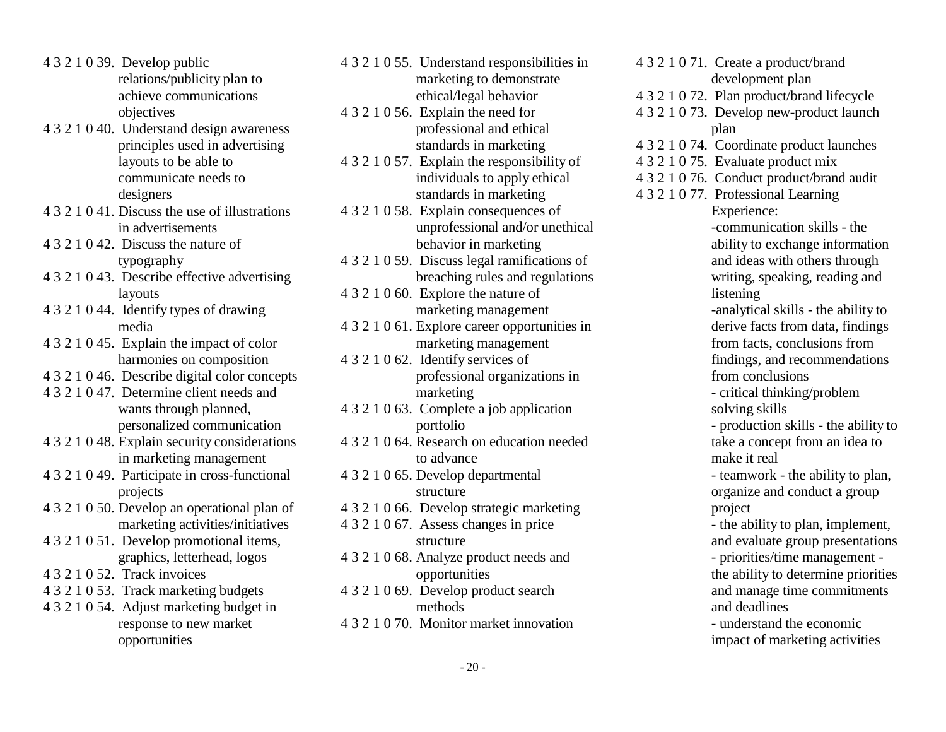- 4 3 2 1 0 39. Develop public relations/publicity plan to achieve communications objectives
- 4 3 2 1 0 40. Understand design awareness principles used in advertising layouts to be able to communicate needs to designers
- 4 3 2 1 0 41. Discuss the use of illustrations in advertisements
- 4 3 2 1 0 42. Discuss the nature of typography
- 4 3 2 1 0 43. Describe effective advertising layouts
- 4 3 2 1 0 44. Identify types of drawing media
- 4 3 2 1 0 45. Explain the impact of color harmonies on composition
- 4 3 2 1 0 46. Describe digital color concepts
- 4 3 2 1 0 47. Determine client needs and wants through planned, personalized communication
- 4 3 2 1 0 48. Explain security considerations in marketing management
- 4 3 2 1 0 49. Participate in cross-functional projects
- 4 3 2 1 0 50. Develop an operational plan of marketing activities/initiatives
- 4 3 2 1 0 51. Develop promotional items, graphics, letterhead, logos
- 4 3 2 1 0 52. Track invoices
- 4 3 2 1 0 53. Track marketing budgets
- 4 3 2 1 0 54. Adjust marketing budget in response to new market opportunities
- 4 3 2 1 0 55. Understand responsibilities in marketing to demonstrate ethical/legal behavior
- 4 3 2 1 0 56. Explain the need for professional and ethical standards in marketing
- 4 3 2 1 0 57. Explain the responsibility of individuals to apply ethical standards in marketing
- 4 3 2 1 0 58. Explain consequences of unprofessional and/or unethical behavior in marketing
- 4 3 2 1 0 59. Discuss legal ramifications of breaching rules and regulations
- 4 3 2 1 0 60. Explore the nature of marketing management
- 4 3 2 1 0 61. Explore career opportunities in marketing management
- 4 3 2 1 0 62. Identify services of professional organizations in marketing
- 4 3 2 1 0 63. Complete a job application portfolio
- 4 3 2 1 0 64. Research on education needed to advance
- 4 3 2 1 0 65. Develop departmental structure
- 4 3 2 1 0 66. Develop strategic marketing
- 4 3 2 1 0 67. Assess changes in price structure
- 4 3 2 1 0 68. Analyze product needs and opportunities
- 4 3 2 1 0 69. Develop product search methods
- 4 3 2 1 0 70. Monitor market innovation
- 4 3 2 1 0 71. Create a product/brand development plan 4 3 2 1 0 72. Plan product/brand lifecycle 4 3 2 1 0 73. Develop new-product launch plan 4 3 2 1 0 74. Coordinate product launches 4 3 2 1 0 75. Evaluate product mix 4 3 2 1 0 76. Conduct product/brand audit 4 3 2 1 0 77. Professional Learning Experience: -communication skills - the ability to exchange information and ideas with others through writing, speaking, reading and listening -analytical skills - the ability to derive facts from data, findings from facts, conclusions from findings, and recommendations from conclusions - critical thinking/problem solving skills - production skills - the ability to take a concept from an idea to make it real - teamwork - the ability to plan, organize and conduct a group project - the ability to plan, implement, and evaluate group presentations - priorities/time management the ability to determine priorities and manage time commitments and deadlines - understand the economic impact of marketing activities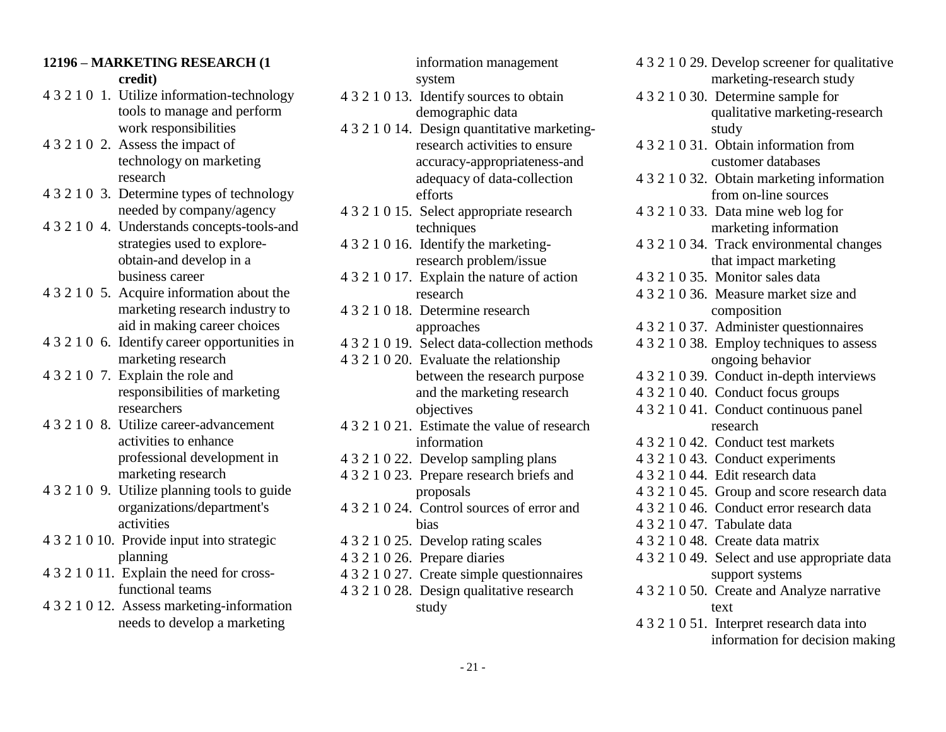### <span id="page-20-0"></span>**12196 – MARKETING RESEARCH (1 credit)**

- 4 3 2 1 0 1. Utilize information-technology tools to manage and perform
- 
- 
- 
- 4 3 2 1 0 5. Acquire information about the research 4 3 2 1 0 36. Measure market size and marketing research industry to 4 3 2 1 0 18. Determine research composition<br>approaches 4 3 2 1 0 37. Administer
- 4 3 2 1 0 6. Identify career opportunities in 4 3 2 1 0 19. Select data-collection methods 4 3 2 1 0 38. Employ techniques to assess
- 
- professional development in 4 3 2 1 0 22. Develop sampling plans 4 3 2 1 0 43. Conduct experiments<br>
4 3 2 1 0 23. Prepare research briefs and 4 3 2 1 0 44. Edit research data
- 
- 4 3 2 1 0 10. Provide input into strategic 4 3 2 1 0 25. Develop rating scales 4 3 2 1 0 48. Create data matrix
- 
- 

information management system

- 4 3 2 1 0 13. Identify sources to obtain demographic data
- work responsibilities 4 3 2 1 0 14. Design quantitative marketing-<br>Assess the impact of research activities to ensure 4 3 2 1 0 31. Obtain 4 3 2 1 0 2. Assess the impact of research activities to ensure 4 3 2 1 0 31. Obtain information from technology on marketing accuracy-appropriateness-and customer databases research adequacy of data-collection 4 3 2 1 0 32. Obtain marketing information 4 3 2 1 0 3. Determine types of technology efforts efforts from on-line sources
- needed by company/agency 4 3 2 1 0 15. Select appropriate research 4 3 2 1 0 33. Data mine web log for 4 3 2 1 0 4. Understands concepts-tools-and techniques marketing information
	- obtain-and develop in a research problem/issue that impact marketing
	- business career 4 3 2 1 0 17. Explain the nature of action 4 3 2 1 0 35. Monitor sales data
		-
		-
- marketing research 4 3 2 1 0 20. Evaluate the relationship ongoing behavior 4 3 2 1 0 7. Explain the role and between the research purpose 4 3 2 1 0 39. Conduct in-depth interviews responsibilities of marketing and the marketing research 4 3 2 1 0 40. Conduct focus groups researchers objectives 4 3 2 1 0 41. Conduct continuous panel
- 4 3 2 1 0 8. Utilize career-advancement 4 3 2 1 0 21. Estimate the value of research activities to enhance information 4 3 2 1 0 42. Conduct
	-
- 4 3 2 1 0 23. Prepare research briefs and 4 3 2 1 0 44. Edit research data 4 3 2 1 0 9. Utilize planning tools to guide proposals 4 3 2 1 0 45. Group and score research data
	- activities bias 4 3 2 1 0 47. Tabulate data
		-
		-
- 4 3 2 1 0 11. Explain the need for cross- 4 3 2 1 0 27. Create simple questionnaires support systems
- 4 3 2 1 0 12. Assess marketing-information study study text
- 4 3 2 1 0 29. Develop screener for qualitative marketing-research study
- 4 3 2 1 0 30. Determine sample for qualitative marketing-research
- 
- 
- 
- strategies used to explore- 4 3 2 1 0 16. Identify the marketing- 4 3 2 1 0 34. Track environmental changes
	-
	-
	- approaches 4 3 2 1 0 37. Administer questionnaires
		-
		-
		- 4 3 2 1 0 40. Conduct focus groups
		-
	- information  $4321042$ . Conduct test markets
		-
		-
		-
- organizations/department's 4 3 2 1 0 24. Control sources of error and 4 3 2 1 0 46. Conduct error research data
	-
	-
- planning 4 3 2 1 0 26. Prepare diaries 4 3 2 1 0 49. Select and use appropriate data
- functional teams 4 3 2 1 0 28. Design qualitative research 4 3 2 1 0 50. Create and Analyze narrative
- needs to develop a marketing  $4321051$ . Interpret research data into information for decision making